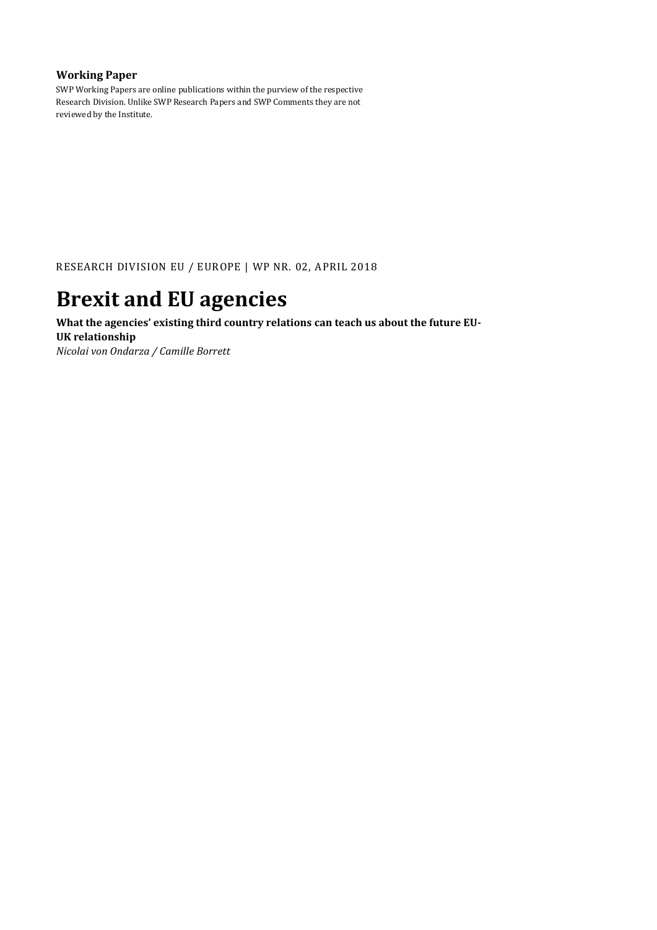#### **Working Paper**

SWP Working Papers are online publications within the purview of the respective Research Division. Unlike SWP Research Papers and SWP Comments they are not reviewed by the Institute.

RESEARCH DIVISION EU / EUROPE | WP NR. 02, APRIL 2018

# **Brexit and EU agencies**

**What the agencies' existing third country relations can teach us about the future EU-UK relationship** *Nicolai von Ondarza / Camille Borrett*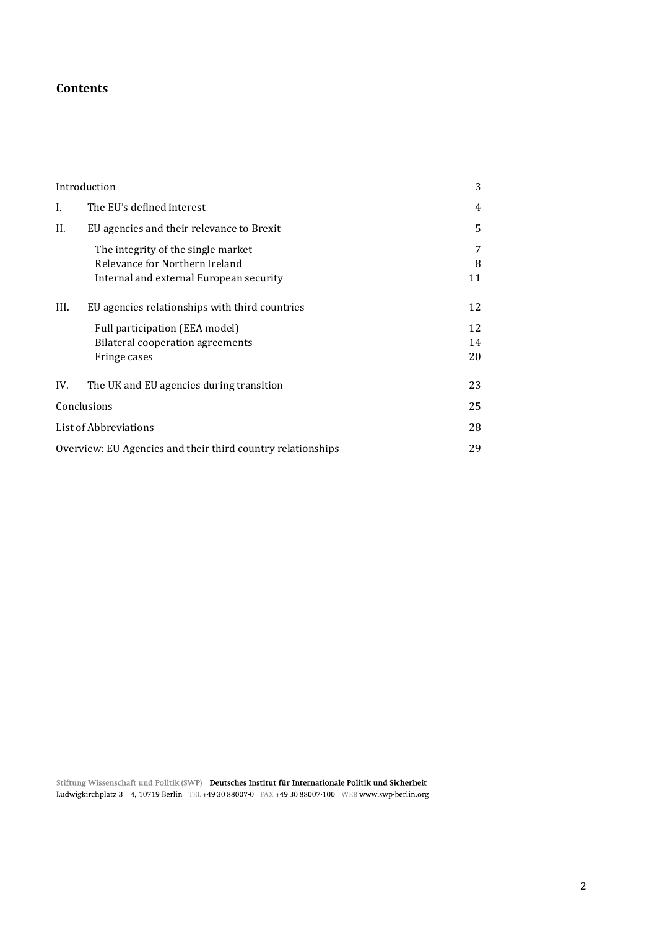## **Contents**

| Introduction                                                                                                                                 |                      |  |  |  |
|----------------------------------------------------------------------------------------------------------------------------------------------|----------------------|--|--|--|
| L<br>The EU's defined interest                                                                                                               | 4                    |  |  |  |
| II.<br>EU agencies and their relevance to Brexit                                                                                             | 5                    |  |  |  |
| The integrity of the single market<br>Relevance for Northern Ireland<br>Internal and external European security                              | 7<br>8<br>11         |  |  |  |
| III.<br>EU agencies relationships with third countries<br>Full participation (EEA model)<br>Bilateral cooperation agreements<br>Fringe cases | 12<br>12<br>14<br>20 |  |  |  |
| The UK and EU agencies during transition<br>IV.                                                                                              | 23                   |  |  |  |
| Conclusions                                                                                                                                  |                      |  |  |  |
| List of Abbreviations                                                                                                                        |                      |  |  |  |
| Overview: EU Agencies and their third country relationships                                                                                  |                      |  |  |  |

Stiftung Wissenschaft und Politik (SWP) Deutsches Institut für Internationale Politik und Sicherheit Ludwigkirchplatz 3-4, 10719 Berlin TEL +49 30 88007-0 FAX +49 30 88007-100 WEB www.swp-berlin.org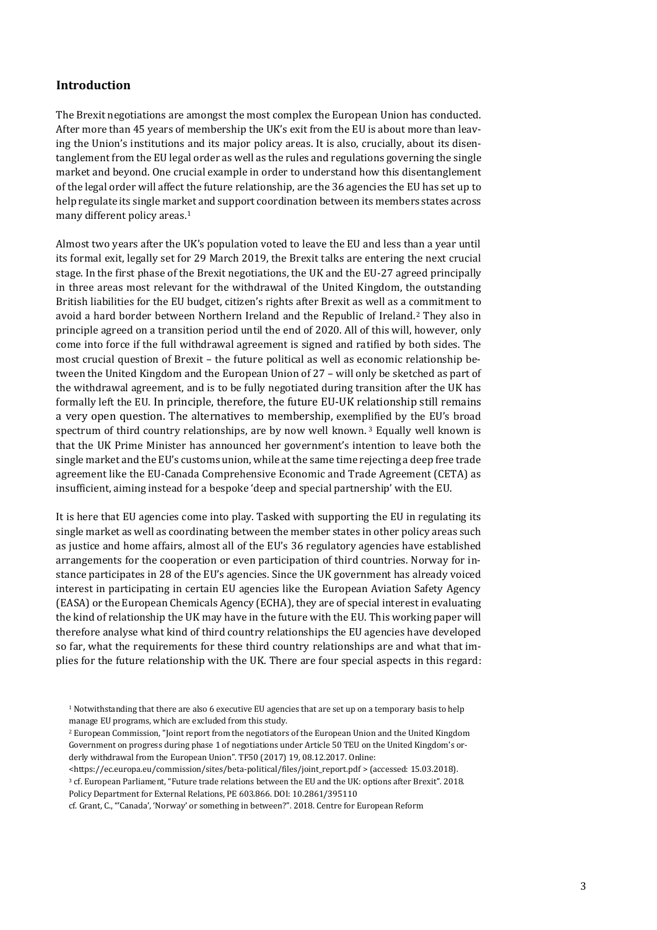#### <span id="page-2-0"></span>**Introduction**

The Brexit negotiations are amongst the most complex the European Union has conducted. After more than 45 years of membership the UK's exit from the EU is about more than leaving the Union's institutions and its major policy areas. It is also, crucially, about its disentanglement from the EU legal order as well as the rules and regulations governing the single market and beyond. One crucial example in order to understand how this disentanglement of the legal order will affect the future relationship, are the 36 agencies the EU has set up to help regulate its single market and support coordination between its members states across many different policy areas. 1

Almost two years after the UK's population voted to leave the EU and less than a year until its formal exit, legally set for 29 March 2019, the Brexit talks are entering the next crucial stage. In the first phase of the Brexit negotiations, the UK and the EU-27 agreed principally in three areas most relevant for the withdrawal of the United Kingdom, the outstanding British liabilities for the EU budget, citizen's rights after Brexit as well as a commitment to avoid a hard border between Northern Ireland and the Republic of Ireland.<sup>2</sup> They also in principle agreed on a transition period until the end of 2020. All of this will, however, only come into force if the full withdrawal agreement is signed and ratified by both sides. The most crucial question of Brexit – the future political as well as economic relationship between the United Kingdom and the European Union of 27 – will only be sketched as part of the withdrawal agreement, and is to be fully negotiated during transition after the UK has formally left the EU. In principle, therefore, the future EU-UK relationship still remains a very open question. The alternatives to membership, exemplified by the EU's broad spectrum of third country relationships, are by now well known.<sup>3</sup> Equally well known is that the UK Prime Minister has announced her government's intention to leave both the single market and the EU's customs union, while at the same time rejecting a deep free trade agreement like the EU-Canada Comprehensive Economic and Trade Agreement (CETA) as insufficient, aiming instead for a bespoke 'deep and special partnership' with the EU.

It is here that EU agencies come into play. Tasked with supporting the EU in regulating its single market as well as coordinating between the member states in other policy areas such as justice and home affairs, almost all of the EU's 36 regulatory agencies have established arrangements for the cooperation or even participation of third countries. Norway for instance participates in 28 of the EU's agencies. Since the UK government has already voiced interest in participating in certain EU agencies like the European Aviation Safety Agency (EASA) or the European Chemicals Agency (ECHA), they are of special interest in evaluating the kind of relationship the UK may have in the future with the EU. This working paper will therefore analyse what kind of third country relationships the EU agencies have developed so far, what the requirements for these third country relationships are and what that implies for the future relationship with the UK. There are four special aspects in this regard:

<sup>1</sup> Notwithstanding that there are also 6 executive EU agencies that are set up on a temporary basis to help manage EU programs, which are excluded from this study.

<sup>2</sup> European Commission, "Joint report from the negotiators of the European Union and the United Kingdom Government on progress during phase 1 of negotiations under Article 50 TEU on the United Kingdom's orderly withdrawal from the European Union". TF50 (2017) 19*,* 08.12.2017. Online:

[<sup>&</sup>lt;https://ec.europa.eu/commission/sites/beta-political/files/joint\\_report.pdf](https://ec.europa.eu/commission/sites/beta-political/files/joint_report.pdf) > (accessed: 15.03.2018).

<sup>3</sup> cf. European Parliament, "Future trade relations between the EU and the UK: options after Brexit". 2018. Policy Department for External Relations, PE 603.866. DOI: 10.2861/395110

cf. Grant, C., "'Canada', 'Norway' or something in between?". 2018. Centre for European Reform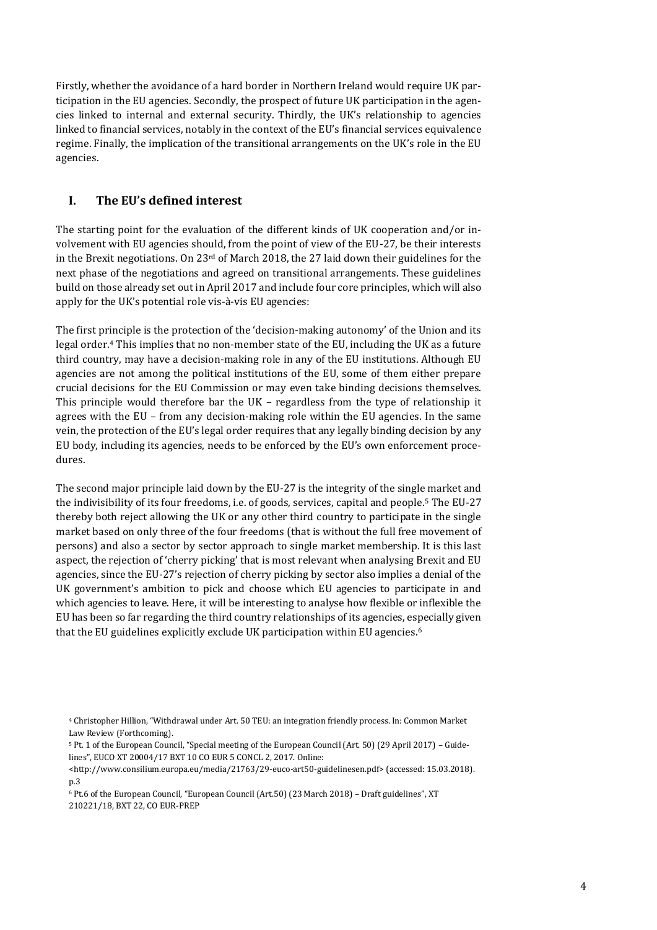Firstly, whether the avoidance of a hard border in Northern Ireland would require UK participation in the EU agencies. Secondly, the prospect of future UK participation in the agencies linked to internal and external security. Thirdly, the UK's relationship to agencies linked to financial services, notably in the context of the EU's financial services equivalence regime. Finally, the implication of the transitional arrangements on the UK's role in the EU agencies.

## <span id="page-3-0"></span>**I. The EU's defined interest**

The starting point for the evaluation of the different kinds of UK cooperation and/or involvement with EU agencies should, from the point of view of the EU-27, be their interests in the Brexit negotiations. On  $23^{rd}$  of March 2018, the 27 laid down their guidelines for the next phase of the negotiations and agreed on transitional arrangements. These guidelines build on those already set out in April 2017 and include four core principles, which will also apply for the UK's potential role vis-à-vis EU agencies:

The first principle is the protection of the 'decision-making autonomy' of the Union and its legal order.<sup>4</sup> This implies that no non-member state of the EU, including the UK as a future third country, may have a decision-making role in any of the EU institutions. Although EU agencies are not among the political institutions of the EU, some of them either prepare crucial decisions for the EU Commission or may even take binding decisions themselves. This principle would therefore bar the UK – regardless from the type of relationship it agrees with the EU – from any decision-making role within the EU agencies. In the same vein, the protection of the EU's legal order requires that any legally binding decision by any EU body, including its agencies, needs to be enforced by the EU's own enforcement procedures.

The second major principle laid down by the EU-27 is the integrity of the single market and the indivisibility of its four freedoms, i.e. of goods, services, capital and people.<sup>5</sup> The EU-27 thereby both reject allowing the UK or any other third country to participate in the single market based on only three of the four freedoms (that is without the full free movement of persons) and also a sector by sector approach to single market membership. It is this last aspect, the rejection of 'cherry picking' that is most relevant when analysing Brexit and EU agencies, since the EU-27's rejection of cherry picking by sector also implies a denial of the UK government's ambition to pick and choose which EU agencies to participate in and which agencies to leave. Here, it will be interesting to analyse how flexible or inflexible the EU has been so far regarding the third country relationships of its agencies, especially given that the EU guidelines explicitly exclude UK participation within EU agencies. 6

<sup>4</sup> Christopher Hillion, "Withdrawal under Art. 50 TEU: an integration friendly process. In: Common Market Law Review (Forthcoming).

<sup>5</sup> Pt. 1 of the European Council, "Special meeting of the European Council (Art. 50) (29 April 2017) – Guidelines", EUCO XT 20004/17 BXT 10 CO EUR 5 CONCL 2, 2017. Online:

[<sup>&</sup>lt;http://www.consilium.europa.eu/media/21763/29-euco-art50-guidelinesen.pdf>](http://www.consilium.europa.eu/media/21763/29-euco-art50-guidelinesen.pdf) (accessed: 15.03.2018). p.3

<sup>6</sup> Pt.6 of the European Council, "European Council (Art.50) (23 March 2018) – Draft guidelines", XT 210221/18, BXT 22, CO EUR-PREP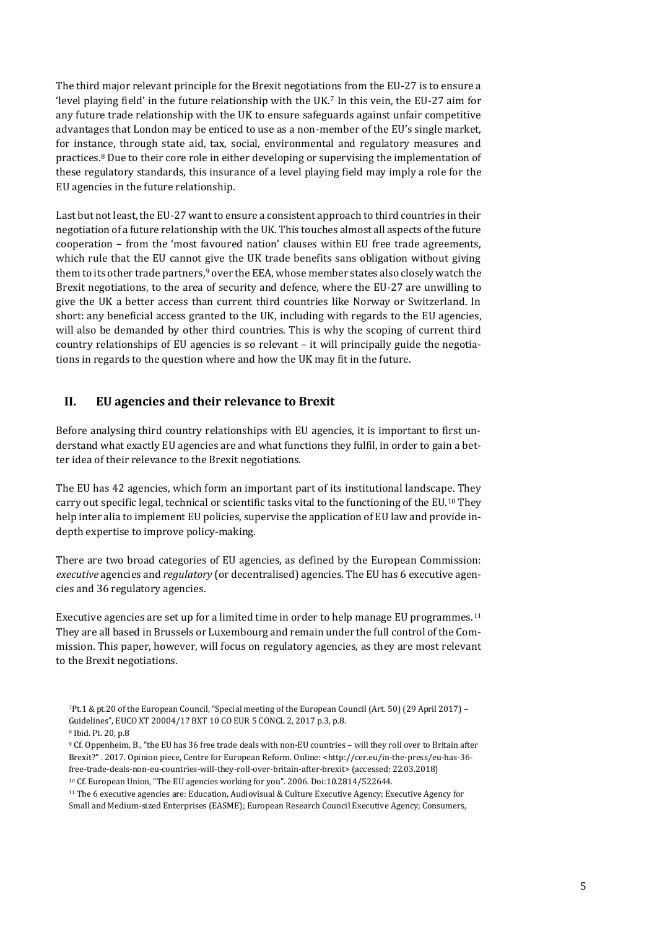The third major relevant principle for the Brexit negotiations from the EU-27 is to ensure a 'level playing field' in the future relationship with the UK.<sup>7</sup> In this vein, the EU-27 aim for any future trade relationship with the UK to ensure safeguards against unfair competitive advantages that London may be enticed to use as a non-member of the EU's single market, for instance, through state aid, tax, social, environmental and regulatory measures and practices.<sup>8</sup> Due to their core role in either developing or supervising the implementation of these regulatory standards, this insurance of a level playing field may imply a role for the EU agencies in the future relationship.

Last but not least, the EU-27 want to ensure a consistent approach to third countries in their negotiation of a future relationship with the UK. This touches almost all aspects of the future cooperation – from the 'most favoured nation' clauses within EU free trade agreements, which rule that the EU cannot give the UK trade benefits sans obligation without giving them to its other trade partners, $9$  over the EEA, whose member states also closely watch the Brexit negotiations, to the area of security and defence, where the EU-27 are unwilling to give the UK a better access than current third countries like Norway or Switzerland. In short: any beneficial access granted to the UK, including with regards to the EU agencies, will also be demanded by other third countries. This is why the scoping of current third country relationships of EU agencies is so relevant – it will principally guide the negotiations in regards to the question where and how the UK may fit in the future.

## <span id="page-4-0"></span>**II. EU agencies and their relevance to Brexit**

Before analysing third country relationships with EU agencies, it is important to first understand what exactly EU agencies are and what functions they fulfil, in order to gain a better idea of their relevance to the Brexit negotiations.

The EU has 42 agencies, which form an important part of its institutional landscape. They carry out specific legal, technical or scientific tasks vital to the functioning of the EU.<sup>10</sup> They help inter alia to implement EU policies, supervise the application of EU law and provide indepth expertise to improve policy-making.

There are two broad categories of EU agencies, as defined by the European Commission: *executive* agencies and *regulatory* (or decentralised) agencies. The EU has 6 executive agencies and 36 regulatory agencies.

Executive agencies are set up for a limited time in order to help manage EU programmes.<sup>11</sup> They are all based in Brussels or Luxembourg and remain under the full control of the Commission. This paper, however, will focus on regulatory agencies, as they are most relevant to the Brexit negotiations.

<sup>11</sup> The 6 executive agencies are: Education, Audiovisual & Culture Executive Agency; Executive Agency for Small and Medium-sized Enterprises (EASME); European Research Council Executive Agency; Consumers,

<sup>7</sup>Pt.1 & pt.20 of the European Council, "Special meeting of the European Council (Art. 50) (29 April 2017) – Guidelines", EUCO XT 20004/17 BXT 10 CO EUR 5 CONCL 2, 2017 p.3, p.8.

<sup>8</sup> Ibid. Pt. 20, p.8

<sup>9</sup> Cf. Oppenheim, B., "the EU has 36 free trade deals with non-EU countries – will they roll over to Britain after Brexit?" . 2017. Opinion piece, Centre for European Reform. Online: <[http://cer.eu/in-the-press/eu-has-36](http://cer.eu/in-the-press/eu-has-36-free-trade-deals-non-eu-countries-will-they-roll-over-britain-after-brexit) [free-trade-deals-non-eu-countries-will-they-roll-over-britain-after-brexit>](http://cer.eu/in-the-press/eu-has-36-free-trade-deals-non-eu-countries-will-they-roll-over-britain-after-brexit) (accessed: 22.03.2018)

<sup>10</sup> Cf. European Union, "The EU agencies working for you". 2006. Doi:10.2814/522644.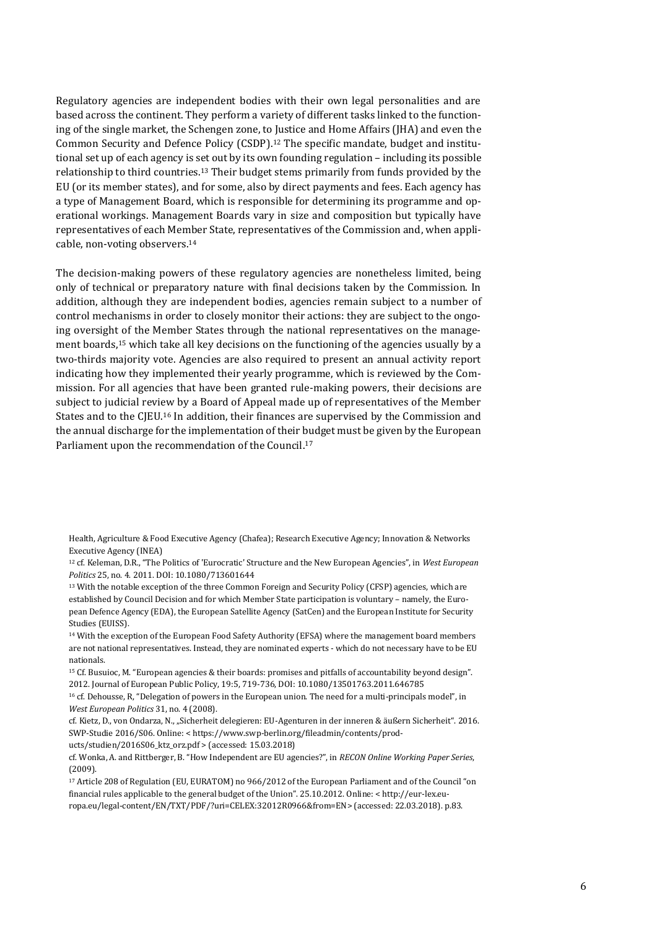Regulatory agencies are independent bodies with their own legal personalities and are based across the continent. They perform a variety of different tasks linked to the functioning of the single market, the Schengen zone, to Justice and Home Affairs (JHA) and even the Common Security and Defence Policy (CSDP). <sup>12</sup> The specific mandate, budget and institutional set up of each agency is set out by its own founding regulation – including its possible relationship to third countries.<sup>13</sup> Their budget stems primarily from funds provided by the EU (or its member states), and for some, also by direct payments and fees. Each agency has a type of Management Board, which is responsible for determining its programme and operational workings. Management Boards vary in size and composition but typically have representatives of each Member State, representatives of the Commission and, when applicable, non-voting observers.<sup>14</sup>

The decision-making powers of these regulatory agencies are nonetheless limited, being only of technical or preparatory nature with final decisions taken by the Commission. In addition, although they are independent bodies, agencies remain subject to a number of control mechanisms in order to closely monitor their actions: they are subject to the ongoing oversight of the Member States through the national representatives on the management boards,<sup>15</sup> which take all key decisions on the functioning of the agencies usually by a two-thirds majority vote. Agencies are also required to present an annual activity report indicating how they implemented their yearly programme, which is reviewed by the Commission. For all agencies that have been granted rule-making powers, their decisions are subject to judicial review by a Board of Appeal made up of representatives of the Member States and to the CJEU.<sup>16</sup> In addition, their finances are supervised by the Commission and the annual discharge for the implementation of their budget must be given by the European Parliament upon the recommendation of the Council.<sup>17</sup>

Health, Agriculture & Food Executive Agency (Chafea); Research Executive Agency; Innovation & Networks Executive Agency (INEA)

<sup>12</sup> cf. Keleman, D.R., "The Politics of 'Eurocratic' Structure and the New European Agencies", in *West European Politics* 25, no. 4. 2011. DOI: 10.1080/713601644

<sup>13</sup> With the notable exception of the three Common Foreign and Security Policy (CFSP) agencies, which are established by Council Decision and for which Member State participation is voluntary – namely, the European Defence Agency (EDA), the European Satellite Agency (SatCen) and the European Institute for Security Studies (EUISS).

<sup>14</sup> With the exception of the European Food Safety Authority (EFSA) where the management board members are not national representatives. Instead, they are nominated experts - which do not necessary have to be EU nationals.

<sup>15</sup> Cf. Busuioc, M. "European agencies & their boards: promises and pitfalls of accountability beyond design". 2012. Journal of European Public Policy, 19:5, 719-736, DOI: 10.1080/13501763.2011.646785

<sup>16</sup> cf. Dehousse, R, "Delegation of powers in the European union. The need for a multi-principals model", in *West European Politics* 31, no. 4 (2008).

cf. Kietz, D., von Ondarza, N., "Sicherheit delegieren: EU-Agenturen in der inneren & äußern Sicherheit". 2016. SWP-Studie 2016/S06. Online: [< https://www.swp-berlin.org/fileadmin/contents/prod-](https://www.swp-berlin.org/fileadmin/contents/products/studien/2016S06_ktz_orz.pdf)

[ucts/studien/2016S06\\_ktz\\_orz.pdf](https://www.swp-berlin.org/fileadmin/contents/products/studien/2016S06_ktz_orz.pdf) > (accessed: 15.03.2018)

cf. Wonka, A. and Rittberger, B. "How Independent are EU agencies?", in *RECON Online Working Paper Series*, (2009).

<sup>17</sup> Article 208 of Regulation (EU, EURATOM) no 966/2012 of the European Parliament and of the Council "on financial rules applicable to the general budget of the Union". 25.10.2012. Online: [< http://eur-lex.eu](http://eur-lex.europa.eu/legal-content/EN/TXT/PDF/?uri=CELEX:32012R0966&from=EN)[ropa.eu/legal-content/EN/TXT/PDF/?uri=CELEX:32012R0966&from=EN>](http://eur-lex.europa.eu/legal-content/EN/TXT/PDF/?uri=CELEX:32012R0966&from=EN) (accessed: 22.03.2018). p.83.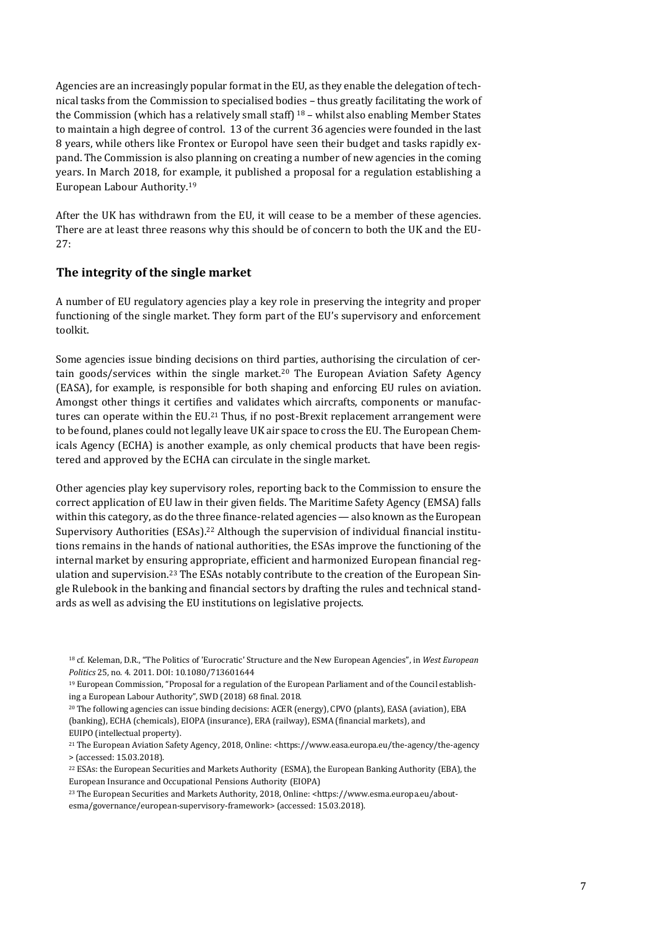Agencies are an increasingly popular format in the EU, as they enable the delegation of technical tasks from the Commission to specialised bodies – thus greatly facilitating the work of the Commission (which has a relatively small staff)  $18 -$  whilst also enabling Member States to maintain a high degree of control. 13 of the current 36 agencies were founded in the last 8 years, while others like Frontex or Europol have seen their budget and tasks rapidly expand. The Commission is also planning on creating a number of new agencies in the coming years. In March 2018, for example, it published a proposal for a regulation establishing a European Labour Authority.<sup>19</sup>

After the UK has withdrawn from the EU, it will cease to be a member of these agencies. There are at least three reasons why this should be of concern to both the UK and the EU-27:

## <span id="page-6-0"></span>**The integrity of the single market**

A number of EU regulatory agencies play a key role in preserving the integrity and proper functioning of the single market. They form part of the EU's supervisory and enforcement toolkit.

Some agencies issue binding decisions on third parties, authorising the circulation of certain goods/services within the single market.<sup>20</sup> The European Aviation Safety Agency (EASA), for example, is responsible for both shaping and enforcing EU rules on aviation. Amongst other things it certifies and validates which aircrafts, components or manufactures can operate within the EU.<sup>21</sup> Thus, if no post-Brexit replacement arrangement were to be found, planes could not legally leave UK air space to cross the EU. The European Chemicals Agency (ECHA) is another example, as only chemical products that have been registered and approved by the ECHA can circulate in the single market.

Other agencies play key supervisory roles, reporting back to the Commission to ensure the correct application of EU law in their given fields. The Maritime Safety Agency (EMSA) falls within this category, as do the three finance-related agencies — also known as the European Supervisory Authorities (ESAs).<sup>22</sup> Although the supervision of individual financial institutions remains in the hands of national authorities, the ESAs improve the functioning of the internal market by ensuring appropriate, efficient and harmonized European financial regulation and supervision.<sup>23</sup> The ESAs notably contribute to the creation of the European Single Rulebook in the banking and financial sectors by drafting the rules and technical standards as well as advising the EU institutions on legislative projects.

<sup>23</sup> The European Securities and Markets Authority, 2018, Online: <https://www.esma.europa.eu/aboutesma/governance/european-supervisory-framework> (accessed: 15.03.2018).

<sup>18</sup> cf. Keleman, D.R., "The Politics of 'Eurocratic' Structure and the New European Agencies", in *West European Politics* 25, no. 4. 2011. DOI: 10.1080/713601644

<sup>19</sup> European Commission, "Proposal for a regulation of the European Parliament and of the Council establishing a European Labour Authority", SWD (2018) 68 final. 2018.

<sup>20</sup> The following agencies can issue binding decisions: ACER (energy), CPVO (plants), EASA (aviation), EBA (banking), ECHA (chemicals), EIOPA (insurance), ERA (railway), ESMA (financial markets), and EUIPO (intellectual property).

<sup>21</sup> The European Aviation Safety Agency, 2018, Online: <https://www.easa.europa.eu/the-agency/the-agency > (accessed: 15.03.2018).

<sup>22</sup> ESAs: the European Securities and Markets Authority (ESMA), the European Banking Authority (EBA), the European Insurance and Occupational Pensions Authority (EIOPA)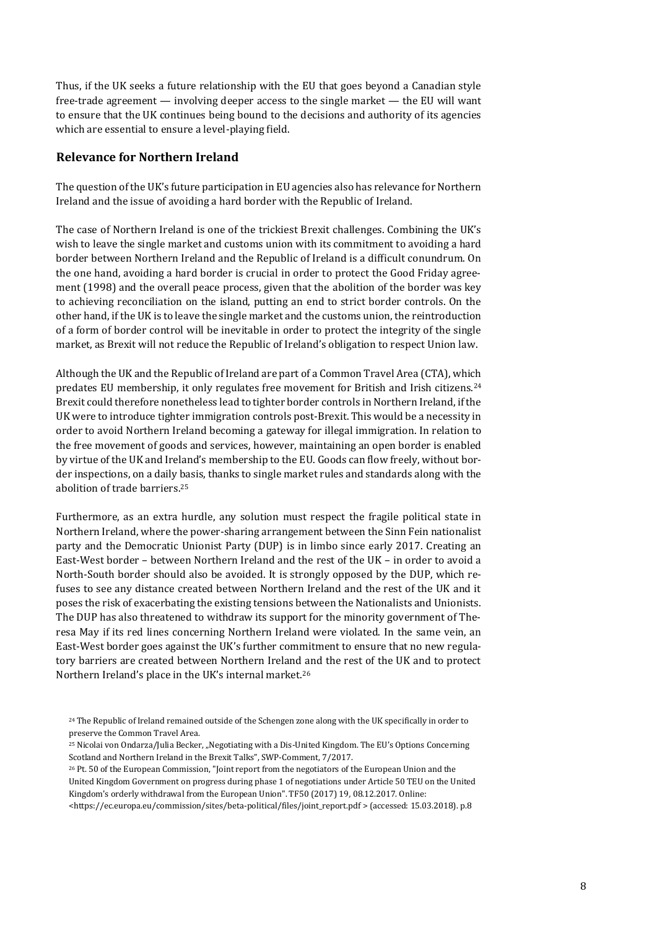Thus, if the UK seeks a future relationship with the EU that goes beyond a Canadian style free-trade agreement — involving deeper access to the single market — the EU will want to ensure that the UK continues being bound to the decisions and authority of its agencies which are essential to ensure a level-playing field.

#### <span id="page-7-0"></span>**Relevance for Northern Ireland**

The question of the UK's future participation in EU agencies also has relevance for Northern Ireland and the issue of avoiding a hard border with the Republic of Ireland.

The case of Northern Ireland is one of the trickiest Brexit challenges. Combining the UK's wish to leave the single market and customs union with its commitment to avoiding a hard border between Northern Ireland and the Republic of Ireland is a difficult conundrum. On the one hand, avoiding a hard border is crucial in order to protect the Good Friday agreement (1998) and the overall peace process, given that the abolition of the border was key to achieving reconciliation on the island, putting an end to strict border controls. On the other hand, if the UK is to leave the single market and the customs union, the reintroduction of a form of border control will be inevitable in order to protect the integrity of the single market, as Brexit will not reduce the Republic of Ireland's obligation to respect Union law.

Although the UK and the Republic of Ireland are part of a Common Travel Area (CTA), which predates EU membership, it only regulates free movement for British and Irish citizens.<sup>24</sup> Brexit could therefore nonetheless lead to tighter border controls in Northern Ireland, if the UK were to introduce tighter immigration controls post-Brexit. This would be a necessity in order to avoid Northern Ireland becoming a gateway for illegal immigration. In relation to the free movement of goods and services, however, maintaining an open border is enabled by virtue of the UK and Ireland's membership to the EU. Goods can flow freely, without border inspections, on a daily basis, thanks to single market rules and standards along with the abolition of trade barriers. 25

Furthermore, as an extra hurdle, any solution must respect the fragile political state in Northern Ireland, where the power-sharing arrangement between the Sinn Fein nationalist party and the Democratic Unionist Party (DUP) is in limbo since early 2017. Creating an East-West border – between Northern Ireland and the rest of the UK – in order to avoid a North-South border should also be avoided. It is strongly opposed by the DUP, which refuses to see any distance created between Northern Ireland and the rest of the UK and it poses the risk of exacerbating the existing tensions between the Nationalists and Unionists. The DUP has also threatened to withdraw its support for the minority government of Theresa May if its red lines concerning Northern Ireland were violated. In the same vein, an East-West border goes against the UK's further commitment to ensure that no new regulatory barriers are created between Northern Ireland and the rest of the UK and to protect Northern Ireland's place in the UK's internal market.<sup>26</sup>

 $\langle$ https://ec.europa.eu/commission/sites/beta-political/files/joint\_report.pdf > (accessed: 15.03.2018). p.8

<sup>&</sup>lt;sup>24</sup> The Republic of Ireland remained outside of the Schengen zone along with the UK specifically in order to preserve the Common Travel Area.

<sup>&</sup>lt;sup>25</sup> Nicolai von Ondarza/Julia Becker, "Negotiating with a Dis-United Kingdom. The EU's Options Concerning Scotland and Northern Ireland in the Brexit Talks", SWP-Comment, 7/2017.

<sup>&</sup>lt;sup>26</sup> Pt. 50 of the European Commission, "Joint report from the negotiators of the European Union and the United Kingdom Government on progress during phase 1 of negotiations under Article 50 TEU on the United Kingdom's orderly withdrawal from the European Union". TF50 (2017) 19*,* 08.12.2017. Online: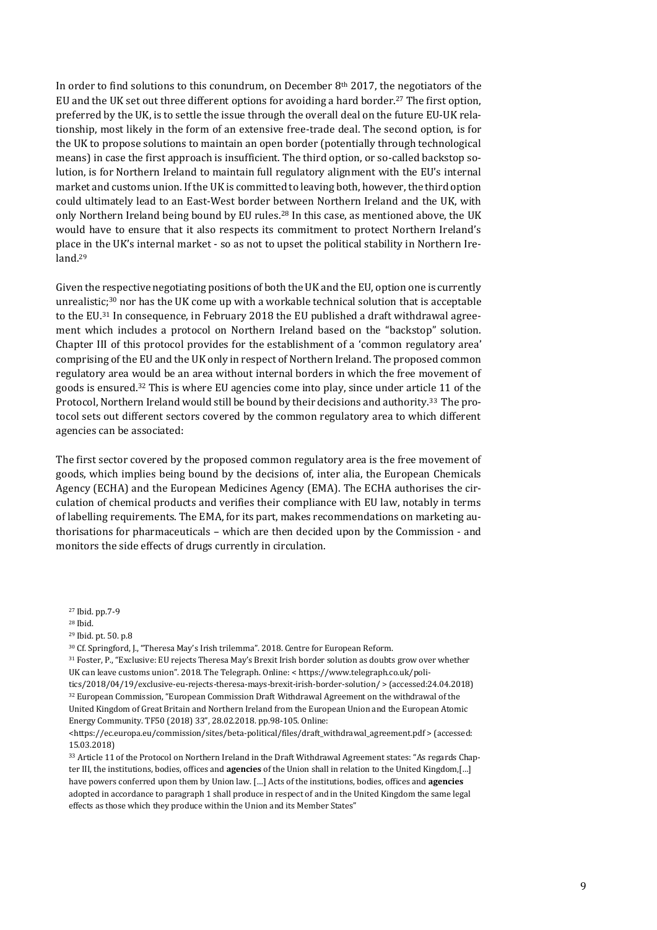In order to find solutions to this conundrum, on December 8<sup>th</sup> 2017, the negotiators of the EU and the UK set out three different options for avoiding a hard border.<sup>27</sup> The first option, preferred by the UK, is to settle the issue through the overall deal on the future EU-UK relationship, most likely in the form of an extensive free-trade deal. The second option, is for the UK to propose solutions to maintain an open border (potentially through technological means) in case the first approach is insufficient. The third option, or so-called backstop solution, is for Northern Ireland to maintain full regulatory alignment with the EU's internal market and customs union. If the UK is committed to leaving both, however, the third option could ultimately lead to an East-West border between Northern Ireland and the UK, with only Northern Ireland being bound by EU rules.<sup>28</sup> In this case, as mentioned above, the UK would have to ensure that it also respects its commitment to protect Northern Ireland's place in the UK's internal market - so as not to upset the political stability in Northern Ireland. 29

Given the respective negotiating positions of both the UK and the EU, option one is currently unrealistic;<sup>30</sup> nor has the UK come up with a workable technical solution that is acceptable to the EU. $31$  In consequence, in February 2018 the EU published a draft withdrawal agreement which includes a protocol on Northern Ireland based on the "backstop" solution. Chapter III of this protocol provides for the establishment of a 'common regulatory area' comprising of the EU and the UK only in respect of Northern Ireland. The proposed common regulatory area would be an area without internal borders in which the free movement of goods is ensured.<sup>32</sup> This is where EU agencies come into play, since under article 11 of the Protocol, Northern Ireland would still be bound by their decisions and authority.<sup>33</sup> The protocol sets out different sectors covered by the common regulatory area to which different agencies can be associated:

The first sector covered by the proposed common regulatory area is the free movement of goods, which implies being bound by the decisions of, inter alia, the European Chemicals Agency (ECHA) and the European Medicines Agency (EMA). The ECHA authorises the circulation of chemical products and verifies their compliance with EU law, notably in terms of labelling requirements. The EMA, for its part, makes recommendations on marketing authorisations for pharmaceuticals – which are then decided upon by the Commission - and monitors the side effects of drugs currently in circulation.

<sup>27</sup> Ibid. pp.7-9

<sup>29</sup> Ibid. pt. 50. p.8

<sup>30</sup> Cf. Springford, J., "Theresa May's Irish trilemma". 2018. Centre for European Reform.

<sup>31</sup> Foster, P., "Exclusive: EU rejects Theresa May's Brexit Irish border solution as doubts grow over whether UK can leave customs union". 2018. The Telegraph. Online: < [https://www.telegraph.co.uk/poli](https://www.telegraph.co.uk/politics/2018/04/19/exclusive-eu-rejects-theresa-mays-brexit-irish-border-solution/)[tics/2018/04/19/exclusive-eu-rejects-theresa-mays-brexit-irish-border-solution/](https://www.telegraph.co.uk/politics/2018/04/19/exclusive-eu-rejects-theresa-mays-brexit-irish-border-solution/) > (accessed:24.04.2018)

<sup>32</sup> European Commission, "European Commission Draft Withdrawal Agreement on the withdrawal of the United Kingdom of Great Britain and Northern Ireland from the European Union and the European Atomic Energy Community. TF50 (2018) 33", 28.02.2018. pp.98-105. Online:

[<https://ec.europa.eu/commission/sites/beta-political/files/draft\\_withdrawal\\_agreement.pdf](https://ec.europa.eu/commission/sites/beta-political/files/draft_withdrawal_agreement.pdf) > (accessed: 15.03.2018)

<sup>33</sup> Article 11 of the Protocol on Northern Ireland in the Draft Withdrawal Agreement states: "As regards Chapter III, the institutions, bodies, offices and **agencies** of the Union shall in relation to the United Kingdom,[…] have powers conferred upon them by Union law. […] Acts of the institutions, bodies, offices and **agencies** adopted in accordance to paragraph 1 shall produce in respect of and in the United Kingdom the same legal effects as those which they produce within the Union and its Member States"

<sup>28</sup> Ibid.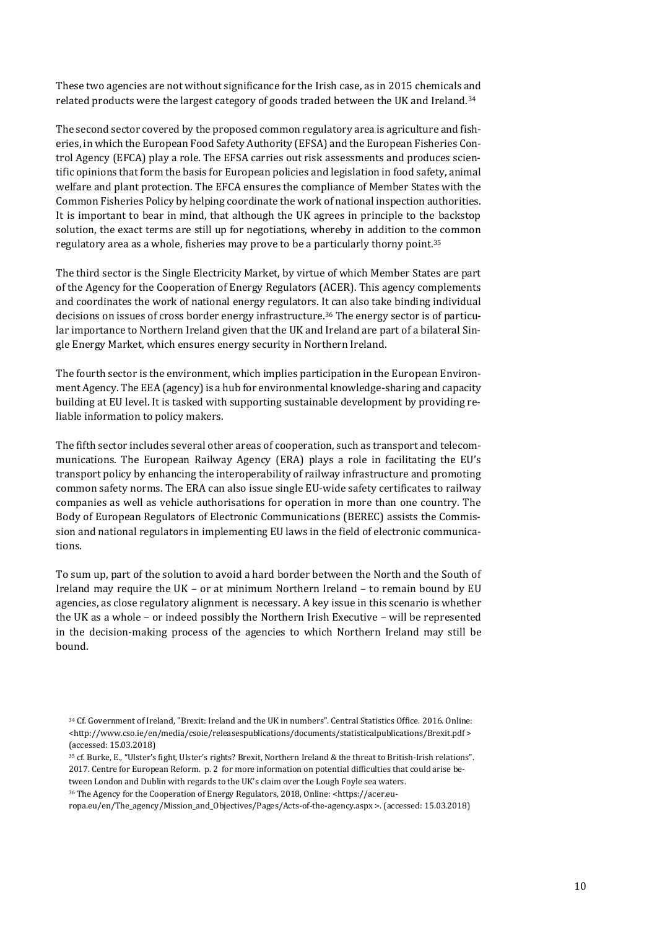These two agencies are not without significance for the Irish case, as in 2015 chemicals and related products were the largest category of goods traded between the UK and Ireland.<sup>34</sup>

The second sector covered by the proposed common regulatory area is agriculture and fisheries, in which the European Food Safety Authority (EFSA) and the European Fisheries Control Agency (EFCA) play a role. The EFSA carries out risk assessments and produces scientific opinions that form the basis for European policies and legislation in food safety, animal welfare and plant protection. The EFCA ensures the compliance of Member States with the Common Fisheries Policy by helping coordinate the work of national inspection authorities. It is important to bear in mind, that although the UK agrees in principle to the backstop solution, the exact terms are still up for negotiations, whereby in addition to the common regulatory area as a whole, fisheries may prove to be a particularly thorny point.<sup>35</sup>

The third sector is the Single Electricity Market, by virtue of which Member States are part of the Agency for the Cooperation of Energy Regulators (ACER). This agency complements and coordinates the work of national energy regulators. It can also take binding individual decisions on issues of cross border energy infrastructure.<sup>36</sup> The energy sector is of particular importance to Northern Ireland given that the UK and Ireland are part of a bilateral Single Energy Market, which ensures energy security in Northern Ireland.

The fourth sector is the environment, which implies participation in the European Environment Agency. The EEA (agency) is a hub for environmental knowledge-sharing and capacity building at EU level. It is tasked with supporting sustainable development by providing reliable information to policy makers.

The fifth sector includes several other areas of cooperation, such as transport and telecommunications. The European Railway Agency (ERA) plays a role in facilitating the EU's transport policy by enhancing the interoperability of railway infrastructure and promoting common safety norms. The ERA can also issue single EU-wide safety certificates to railway companies as well as vehicle authorisations for operation in more than one country. The Body of European Regulators of Electronic Communications (BEREC) assists the Commission and national regulators in implementing EU laws in the field of electronic communications.

To sum up, part of the solution to avoid a hard border between the North and the South of Ireland may require the UK – or at minimum Northern Ireland – to remain bound by EU agencies, as close regulatory alignment is necessary. A key issue in this scenario is whether the UK as a whole – or indeed possibly the Northern Irish Executive – will be represented in the decision-making process of the agencies to which Northern Ireland may still be bound.

ropa.eu/en/The\_agency/Mission\_and\_Objectives/Pages/Acts-of-the-agency.aspx >. (accessed: 15.03.2018)

<sup>34</sup> Cf. Government of Ireland, "Brexit: Ireland and the UK in numbers". Central Statistics Office. 2016. Online: [<http://www.cso.ie/en/media/csoie/releasespublications/documents/statisticalpublications/Brexit.pdf](http://www.cso.ie/en/media/csoie/releasespublications/documents/statisticalpublications/Brexit.pdf) > (accessed: 15.03.2018)

<sup>35</sup> cf. Burke, E., "Ulster's fight, Ulster's rights? Brexit, Northern Ireland & the threat to British-Irish relations". 2017. Centre for European Reform. p. 2 for more information on potential difficulties that could arise between London and Dublin with regards to the UK's claim over the Lough Foyle sea waters.

<sup>36</sup> The Agency for the Cooperation of Energy Regulators, 2018, Online: <https://acer.eu-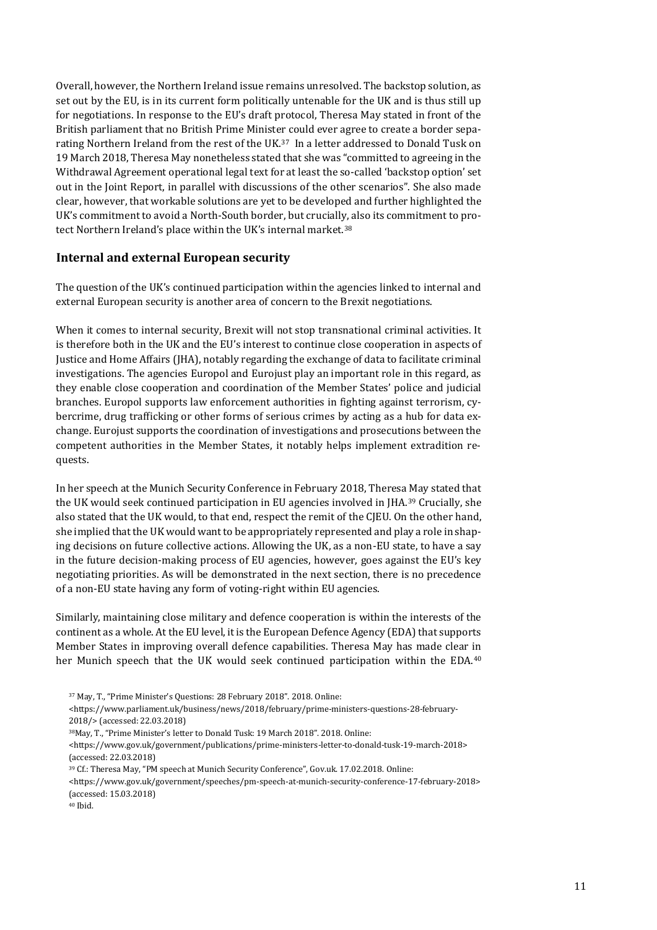Overall, however, the Northern Ireland issue remains unresolved. The backstop solution, as set out by the EU, is in its current form politically untenable for the UK and is thus still up for negotiations. In response to the EU's draft protocol, Theresa May stated in front of the British parliament that no British Prime Minister could ever agree to create a border separating Northern Ireland from the rest of the UK.<sup>37</sup> In a letter addressed to Donald Tusk on 19 March 2018, Theresa May nonetheless stated that she was "committed to agreeing in the Withdrawal Agreement operational legal text for at least the so-called 'backstop option' set out in the Joint Report, in parallel with discussions of the other scenarios". She also made clear, however, that workable solutions are yet to be developed and further highlighted the UK's commitment to avoid a North-South border, but crucially, also its commitment to protect Northern Ireland's place within the UK's internal market.<sup>38</sup>

## <span id="page-10-0"></span>**Internal and external European security**

The question of the UK's continued participation within the agencies linked to internal and external European security is another area of concern to the Brexit negotiations.

When it comes to internal security, Brexit will not stop transnational criminal activities. It is therefore both in the UK and the EU's interest to continue close cooperation in aspects of Justice and Home Affairs (JHA), notably regarding the exchange of data to facilitate criminal investigations. The agencies Europol and Eurojust play an important role in this regard, as they enable close cooperation and coordination of the Member States' police and judicial branches. Europol supports law enforcement authorities in fighting against terrorism, cybercrime, drug trafficking or other forms of serious crimes by acting as a hub for data exchange. Eurojust supports the coordination of investigations and prosecutions between the competent authorities in the Member States, it notably helps implement extradition requests.

In her speech at the Munich Security Conference in February 2018, Theresa May stated that the UK would seek continued participation in EU agencies involved in JHA.<sup>39</sup> Crucially, she also stated that the UK would, to that end, respect the remit of the CJEU. On the other hand, she implied that the UK would want to be appropriately represented and play a role in shaping decisions on future collective actions. Allowing the UK, as a non-EU state, to have a say in the future decision-making process of EU agencies, however, goes against the EU's key negotiating priorities. As will be demonstrated in the next section, there is no precedence of a non-EU state having any form of voting-right within EU agencies.

Similarly, maintaining close military and defence cooperation is within the interests of the continent as a whole. At the EU level, it is the European Defence Agency (EDA) that supports Member States in improving overall defence capabilities. Theresa May has made clear in her Munich speech that the UK would seek continued participation within the EDA.<sup>40</sup>

<sup>37</sup> May, T., "Prime Minister's Questions: 28 February 2018". 2018. Online:

[<sup>&</sup>lt;https://www.parliament.uk/business/news/2018/february/prime-ministers-questions-28-february-](https://www.parliament.uk/business/news/2018/february/prime-ministers-questions-28-february-2018/)[2018/>](https://www.parliament.uk/business/news/2018/february/prime-ministers-questions-28-february-2018/) (accessed: 22.03.2018)

<sup>38</sup>May, T., "Prime Minister's letter to Donald Tusk: 19 March 2018". 2018. Online:

[<sup>&</sup>lt;https://www.gov.uk/government/publications/prime-ministers-letter-to-donald-tusk-19-march-2018>](https://www.gov.uk/government/publications/prime-ministers-letter-to-donald-tusk-19-march-2018) (accessed: 22.03.2018)

<sup>39</sup> Cf.: Theresa May, "PM speech at Munich Security Conference", Gov.uk. 17.02.2018. Online:

[<sup>&</sup>lt;https://www.gov.uk/government/speeches/pm-speech-at-munich-security-conference-17-february-2018>](https://www.gov.uk/government/speeches/pm-speech-at-munich-security-conference-17-february-2018) (accessed: 15.03.2018)

<sup>40</sup> Ibid.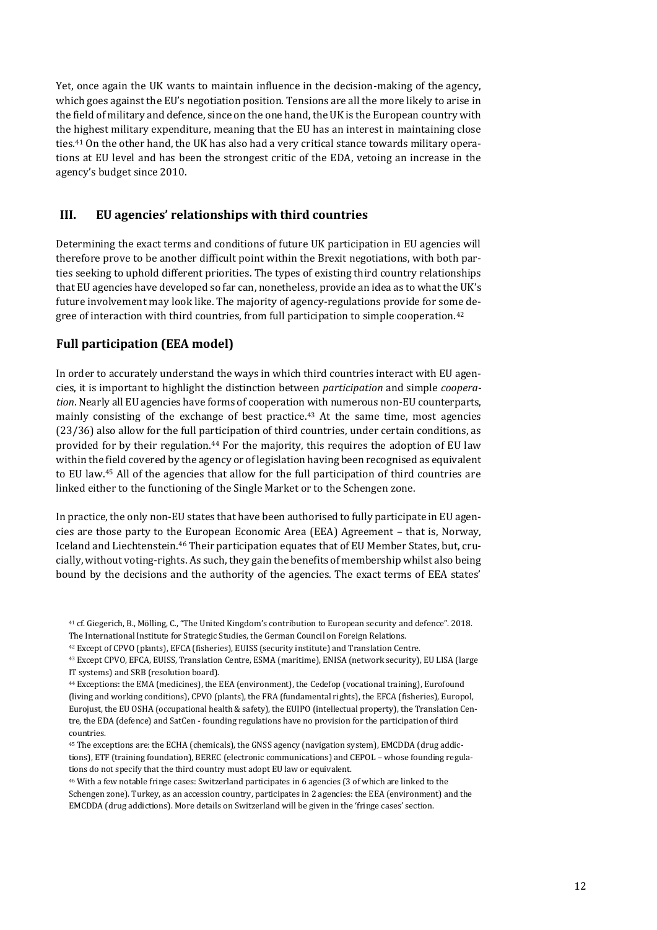Yet, once again the UK wants to maintain influence in the decision-making of the agency, which goes against the EU's negotiation position. Tensions are all the more likely to arise in the field of military and defence, since on the one hand, the UK is the European country with the highest military expenditure, meaning that the EU has an interest in maintaining close ties.<sup>41</sup> On the other hand, the UK has also had a very critical stance towards military operations at EU level and has been the strongest critic of the EDA, vetoing an increase in the agency's budget since 2010.

## <span id="page-11-0"></span>**III. EU agencies' relationships with third countries**

Determining the exact terms and conditions of future UK participation in EU agencies will therefore prove to be another difficult point within the Brexit negotiations, with both parties seeking to uphold different priorities. The types of existing third country relationships that EU agencies have developed so far can, nonetheless, provide an idea as to what the UK's future involvement may look like. The majority of agency-regulations provide for some degree of interaction with third countries, from full participation to simple cooperation.<sup>42</sup>

## <span id="page-11-1"></span>**Full participation (EEA model)**

In order to accurately understand the ways in which third countries interact with EU agencies, it is important to highlight the distinction between *participation* and simple *cooperation*. Nearly all EU agencies have forms of cooperation with numerous non-EU counterparts, mainly consisting of the exchange of best practice.<sup>43</sup> At the same time, most agencies (23/36) also allow for the full participation of third countries, under certain conditions, as provided for by their regulation.<sup>44</sup> For the majority, this requires the adoption of EU law within the field covered by the agency or of legislation having been recognised as equivalent to EU law.<sup>45</sup> All of the agencies that allow for the full participation of third countries are linked either to the functioning of the Single Market or to the Schengen zone.

In practice, the only non-EU states that have been authorised to fully participate in EU agencies are those party to the European Economic Area (EEA) Agreement – that is, Norway, Iceland and Liechtenstein.<sup>46</sup> Their participation equates that of EU Member States, but, crucially, without voting-rights. As such, they gain the benefits of membership whilst also being bound by the decisions and the authority of the agencies. The exact terms of EEA states'

<sup>42</sup> Except of CPVO (plants), EFCA (fisheries), EUISS (security institute) and Translation Centre.

<sup>46</sup> With a few notable fringe cases: Switzerland participates in 6 agencies (3 of which are linked to the Schengen zone). Turkey, as an accession country, participates in 2 agencies: the EEA (environment) and the EMCDDA (drug addictions). More details on Switzerland will be given in the 'fringe cases' section.

<sup>41</sup> cf. Giegerich, B., Mölling, C., "The United Kingdom's contribution to European security and defence". 2018. The International Institute for Strategic Studies, the German Council on Foreign Relations.

<sup>43</sup> Except CPVO, EFCA, EUISS, Translation Centre, ESMA (maritime), ENISA (network security), EU LISA (large IT systems) and SRB (resolution board).

<sup>44</sup> Exceptions: the EMA (medicines), the EEA (environment), the Cedefop (vocational training), Eurofound (living and working conditions), CPVO (plants), the FRA (fundamental rights), the EFCA (fisheries), Europol, Eurojust, the EU OSHA (occupational health & safety), the EUIPO (intellectual property), the Translation Centre, the EDA (defence) and SatCen - founding regulations have no provision for the participation of third countries.

<sup>45</sup> The exceptions are: the ECHA (chemicals), the GNSS agency (navigation system), EMCDDA (drug addictions), ETF (training foundation), BEREC (electronic communications) and CEPOL – whose founding regulations do not specify that the third country must adopt EU law or equivalent.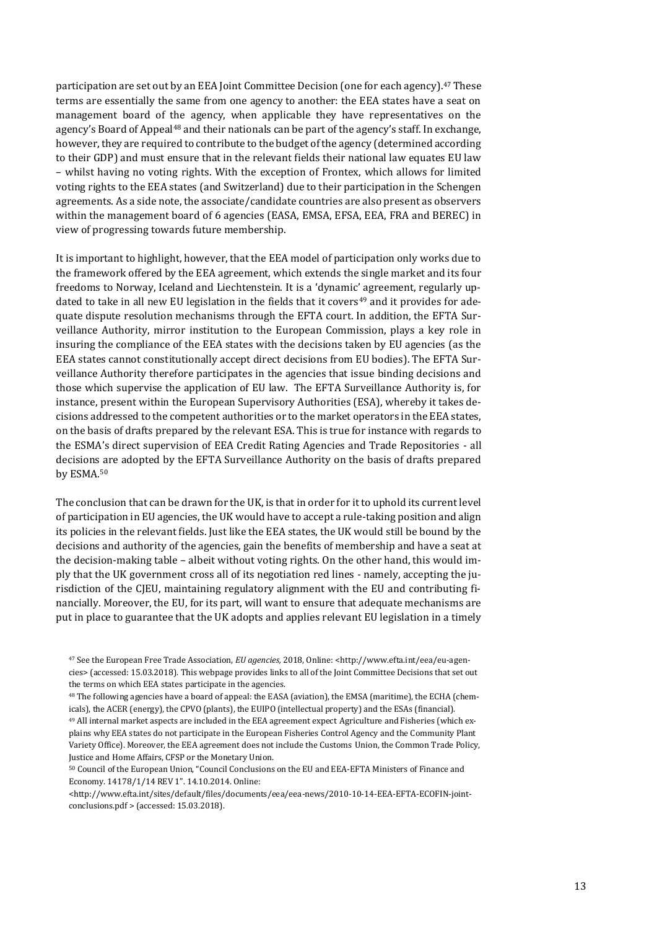participation are set out by an EEA Joint Committee Decision (one for each agency).<sup>47</sup> These terms are essentially the same from one agency to another: the EEA states have a seat on management board of the agency, when applicable they have representatives on the agency's Board of Appeal<sup>48</sup> and their nationals can be part of the agency's staff. In exchange, however, they are required to contribute to the budget of the agency (determined according to their GDP) and must ensure that in the relevant fields their national law equates EU law – whilst having no voting rights. With the exception of Frontex, which allows for limited voting rights to the EEA states (and Switzerland) due to their participation in the Schengen agreements. As a side note, the associate/candidate countries are also present as observers within the management board of 6 agencies (EASA, EMSA, EFSA, EEA, FRA and BEREC) in view of progressing towards future membership.

It is important to highlight, however, that the EEA model of participation only works due to the framework offered by the EEA agreement, which extends the single market and its four freedoms to Norway, Iceland and Liechtenstein. It is a 'dynamic' agreement, regularly updated to take in all new EU legislation in the fields that it covers $49$  and it provides for adequate dispute resolution mechanisms through the EFTA court. In addition, the EFTA Surveillance Authority, mirror institution to the European Commission, plays a key role in insuring the compliance of the EEA states with the decisions taken by EU agencies (as the EEA states cannot constitutionally accept direct decisions from EU bodies). The EFTA Surveillance Authority therefore participates in the agencies that issue binding decisions and those which supervise the application of EU law. The EFTA Surveillance Authority is, for instance, present within the European Supervisory Authorities (ESA), whereby it takes decisions addressed to the competent authorities or to the market operators in the EEA states, on the basis of drafts prepared by the relevant ESA. This is true for instance with regards to the ESMA's direct supervision of EEA Credit Rating Agencies and Trade Repositories - all decisions are adopted by the EFTA Surveillance Authority on the basis of drafts prepared by ESMA.<sup>50</sup>

The conclusion that can be drawn for the UK, is that in order for it to uphold its current level of participation in EU agencies, the UK would have to accept a rule-taking position and align its policies in the relevant fields. Just like the EEA states, the UK would still be bound by the decisions and authority of the agencies, gain the benefits of membership and have a seat at the decision-making table – albeit without voting rights. On the other hand, this would imply that the UK government cross all of its negotiation red lines - namely, accepting the jurisdiction of the CJEU, maintaining regulatory alignment with the EU and contributing financially. Moreover, the EU, for its part, will want to ensure that adequate mechanisms are put in place to guarantee that the UK adopts and applies relevant EU legislation in a timely

<sup>47</sup> See the European Free Trade Association, *EU agencies,* 2018, Online: <http://www.efta.int/eea/eu-agencies> (accessed: 15.03.2018). This webpage provides links to all of the Joint Committee Decisions that set out the terms on which EEA states participate in the agencies.

<sup>48</sup> The following agencies have a board of appeal: the EASA (aviation), the EMSA (maritime), the ECHA (chemicals), the ACER (energy), the CPVO (plants), the EUIPO (intellectual property) and the ESAs (financial).

<sup>49</sup> All internal market aspects are included in the EEA agreement expect Agriculture and Fisheries (which explains why EEA states do not participate in the European Fisheries Control Agency and the Community Plant Variety Office). Moreover, the EEA agreement does not include the Customs Union, the Common Trade Policy, Justice and Home Affairs, CFSP or the Monetary Union.

<sup>50</sup> Council of the European Union, "Council Conclusions on the EU and EEA-EFTA Ministers of Finance and Economy. 14178/1/14 REV 1". 14.10.2014. Online:

[<sup>&</sup>lt;http://www.efta.int/sites/default/files/documents/eea/eea-news/2010-10-14-EEA-EFTA-ECOFIN-joint](http://www.efta.int/sites/default/files/documents/eea/eea-news/2010-10-14-EEA-EFTA-ECOFIN-joint-conclusions.pdf)[conclusions.pdf](http://www.efta.int/sites/default/files/documents/eea/eea-news/2010-10-14-EEA-EFTA-ECOFIN-joint-conclusions.pdf) > (accessed: 15.03.2018).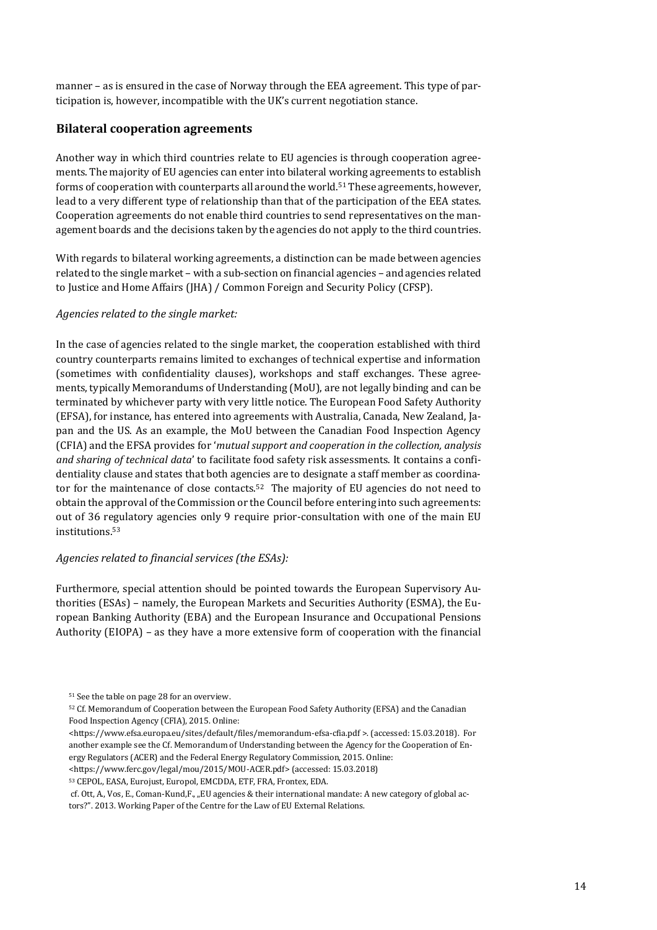manner – as is ensured in the case of Norway through the EEA agreement. This type of participation is, however, incompatible with the UK's current negotiation stance.

#### <span id="page-13-0"></span>**Bilateral cooperation agreements**

Another way in which third countries relate to EU agencies is through cooperation agreements. The majority of EU agencies can enter into bilateral working agreements to establish forms of cooperation with counterparts all around the world.<sup>51</sup> These agreements, however, lead to a very different type of relationship than that of the participation of the EEA states. Cooperation agreements do not enable third countries to send representatives on the management boards and the decisions taken by the agencies do not apply to the third countries.

With regards to bilateral working agreements, a distinction can be made between agencies related to the single market – with a sub-section on financial agencies – and agencies related to Justice and Home Affairs (JHA) / Common Foreign and Security Policy (CFSP).

#### *Agencies related to the single market:*

In the case of agencies related to the single market, the cooperation established with third country counterparts remains limited to exchanges of technical expertise and information (sometimes with confidentiality clauses), workshops and staff exchanges. These agreements, typically Memorandums of Understanding (MoU), are not legally binding and can be terminated by whichever party with very little notice. The European Food Safety Authority (EFSA), for instance, has entered into agreements with Australia, Canada, New Zealand, Japan and the US. As an example, the MoU between the Canadian Food Inspection Agency (CFIA) and the EFSA provides for '*mutual support and cooperation in the collection, analysis and sharing of technical data*' to facilitate food safety risk assessments. It contains a confidentiality clause and states that both agencies are to designate a staff member as coordinator for the maintenance of close contacts.<sup>52</sup> The majority of EU agencies do not need to obtain the approval of the Commission or the Council before entering into such agreements: out of 36 regulatory agencies only 9 require prior-consultation with one of the main EU institutions. 53

#### *Agencies related to financial services (the ESAs):*

Furthermore, special attention should be pointed towards the European Supervisory Authorities (ESAs) – namely, the European Markets and Securities Authority (ESMA), the European Banking Authority (EBA) and the European Insurance and Occupational Pensions Authority (EIOPA) – as they have a more extensive form of cooperation with the financial

<sup>51</sup> See the table on page 28 for an overview.

<sup>52</sup> Cf. Memorandum of Cooperation between the European Food Safety Authority (EFSA) and the Canadian Food Inspection Agency (CFIA), 2015. Online:

[<sup>&</sup>lt;https://www.efsa.europa.eu/sites/default/files/memorandum-efsa-cfia.pdf](https://www.efsa.europa.eu/sites/default/files/memorandum-efsa-cfia.pdf) >. (accessed: 15.03.2018). For another example see the Cf. Memorandum of Understanding between the Agency for the Cooperation of Energy Regulators (ACER) and the Federal Energy Regulatory Commission, 2015. Online:

[<sup>&</sup>lt;https://www.ferc.gov/legal/mou/2015/MOU-ACER.pdf>](https://www.ferc.gov/legal/mou/2015/MOU-ACER.pdf) (accessed: 15.03.2018)

<sup>53</sup> CEPOL, EASA, Eurojust, Europol, EMCDDA, ETF, FRA, Frontex, EDA.

cf. Ott, A., Vos, E., Coman-Kund,F., "EU agencies & their international mandate: A new category of global actors?". 2013. Working Paper of the Centre for the Law of EU External Relations.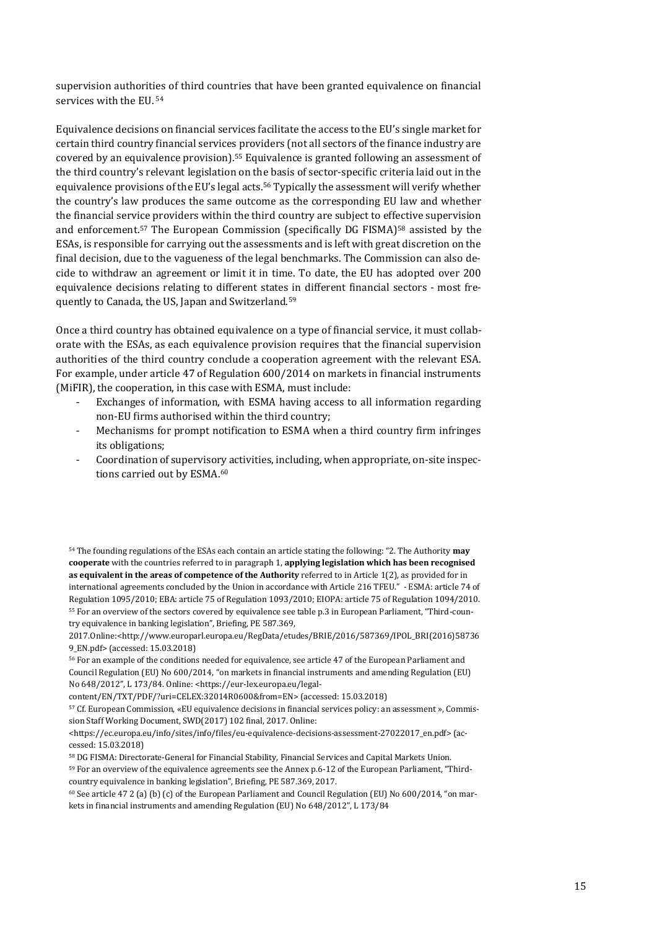supervision authorities of third countries that have been granted equivalence on financial services with the EU. 54

Equivalence decisions on financial services facilitate the access to the EU's single market for certain third country financial services providers (not all sectors of the finance industry are covered by an equivalence provision).<sup>55</sup> Equivalence is granted following an assessment of the third country's relevant legislation on the basis of sector-specific criteria laid out in the equivalence provisions of the EU's legal acts.<sup>56</sup> Typically the assessment will verify whether the country's law produces the same outcome as the corresponding EU law and whether the financial service providers within the third country are subject to effective supervision and enforcement.<sup>57</sup> The European Commission (specifically DG FISMA)<sup>58</sup> assisted by the ESAs, is responsible for carrying out the assessments and is left with great discretion on the final decision, due to the vagueness of the legal benchmarks. The Commission can also decide to withdraw an agreement or limit it in time. To date, the EU has adopted over 200 equivalence decisions relating to different states in different financial sectors - most frequently to Canada, the US, Japan and Switzerland.<sup>59</sup>

Once a third country has obtained equivalence on a type of financial service, it must collaborate with the ESAs, as each equivalence provision requires that the financial supervision authorities of the third country conclude a cooperation agreement with the relevant ESA. For example, under article 47 of Regulation 600/2014 on markets in financial instruments (MiFIR), the cooperation, in this case with ESMA, must include:

- Exchanges of information, with ESMA having access to all information regarding non-EU firms authorised within the third country;
- Mechanisms for prompt notification to ESMA when a third country firm infringes its obligations;
- Coordination of supervisory activities, including, when appropriate, on-site inspections carried out by ESMA.<sup>60</sup>

<sup>54</sup> The founding regulations of the ESAs each contain an article stating the following: "2. The Authority **may cooperate** with the countries referred to in paragraph 1, **applying legislation which has been recognised as equivalent in the areas of competence of the Authority** referred to in Article 1(2), as provided for in international agreements concluded by the Union in accordance with Article 216 TFEU." *-* ESMA: article 74 of Regulation 1095/2010; EBA: article 75 of Regulation 1093/2010; EIOPA: article 75 of Regulation 1094/2010. <sup>55</sup> For an overview of the sectors covered by equivalence see table p.3 in European Parliament, "Third-country equivalence in banking legislation", Briefing, PE 587.369,

2017.Online:[<http://www.europarl.europa.eu/RegData/etudes/BRIE/2016/587369/IPOL\\_BRI\(2016\)58736](http://www.europarl.europa.eu/RegData/etudes/BRIE/2016/587369/IPOL_BRI(2016)587369_EN.pdf) [9\\_EN.pdf>](http://www.europarl.europa.eu/RegData/etudes/BRIE/2016/587369/IPOL_BRI(2016)587369_EN.pdf) (accessed: 15.03.2018)

<sup>56</sup> For an example of the conditions needed for equivalence, see article 47 of the European Parliament and Council Regulation (EU) No 600/2014, "on markets in financial instruments and amending Regulation (EU) No 648/2012", L 173/84. Online: <[https://eur-lex.europa.eu/legal-](https://eur-lex.europa.eu/legal-content/EN/TXT/PDF/?uri=CELEX:32014R0600&from=EN)

[content/EN/TXT/PDF/?uri=CELEX:32014R0600&from=EN>](https://eur-lex.europa.eu/legal-content/EN/TXT/PDF/?uri=CELEX:32014R0600&from=EN) (accessed: 15.03.2018)

<sup>57</sup> Cf. European Commission, «EU equivalence decisions in financial services policy: an assessment », Commission Staff Working Document, SWD(2017) 102 final, 2017. Online:

[<https://ec.europa.eu/info/sites/info/files/eu-equivalence-decisions-assessment-27022017\\_en.pdf>](https://ec.europa.eu/info/sites/info/files/eu-equivalence-decisions-assessment-27022017_en.pdf) (accessed: 15.03.2018)

<sup>58</sup> DG FISMA: Directorate-General for Financial Stability, Financial Services and Capital Markets Union.

<sup>59</sup> For an overview of the equivalence agreements see the Annex p.6-12 of the European Parliament, "Thirdcountry equivalence in banking legislation", Briefing, PE 587.369, 2017.

<sup>60</sup> See article 47 2 (a) (b) (c) of the European Parliament and Council Regulation (EU) No 600/2014, "on markets in financial instruments and amending Regulation (EU) No 648/2012", L 173/84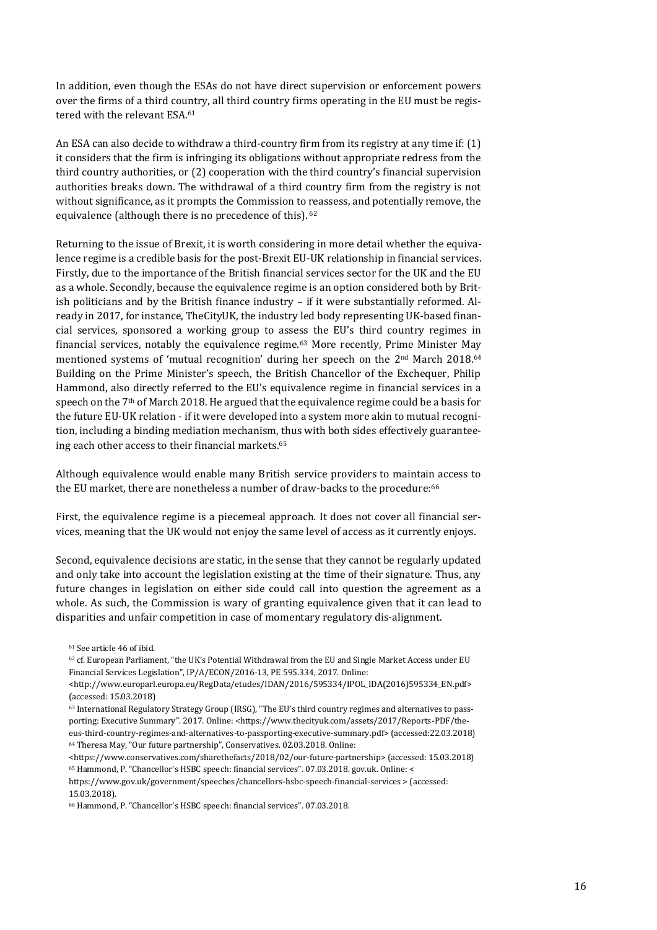In addition, even though the ESAs do not have direct supervision or enforcement powers over the firms of a third country, all third country firms operating in the EU must be registered with the relevant ESA.<sup>61</sup>

An ESA can also decide to withdraw a third-country firm from its registry at any time if: (1) it considers that the firm is infringing its obligations without appropriate redress from the third country authorities, or (2) cooperation with the third country's financial supervision authorities breaks down. The withdrawal of a third country firm from the registry is not without significance, as it prompts the Commission to reassess, and potentially remove, the equivalence (although there is no precedence of this). <sup>62</sup>

Returning to the issue of Brexit, it is worth considering in more detail whether the equivalence regime is a credible basis for the post-Brexit EU-UK relationship in financial services. Firstly, due to the importance of the British financial services sector for the UK and the EU as a whole. Secondly, because the equivalence regime is an option considered both by British politicians and by the British finance industry – if it were substantially reformed. Already in 2017, for instance, TheCityUK, the industry led body representing UK-based financial services, sponsored a working group to assess the EU's third country regimes in financial services, notably the equivalence regime.<sup>63</sup> More recently, Prime Minister May mentioned systems of 'mutual recognition' during her speech on the  $2<sup>nd</sup>$  March 2018.<sup>64</sup> Building on the Prime Minister's speech, the British Chancellor of the Exchequer, Philip Hammond, also directly referred to the EU's equivalence regime in financial services in a speech on the 7<sup>th</sup> of March 2018. He argued that the equivalence regime could be a basis for the future EU-UK relation - if it were developed into a system more akin to mutual recognition, including a binding mediation mechanism, thus with both sides effectively guaranteeing each other access to their financial markets. 65

Although equivalence would enable many British service providers to maintain access to the EU market, there are nonetheless a number of draw-backs to the procedure:<sup>66</sup>

First, the equivalence regime is a piecemeal approach. It does not cover all financial services, meaning that the UK would not enjoy the same level of access as it currently enjoys.

Second, equivalence decisions are static, in the sense that they cannot be regularly updated and only take into account the legislation existing at the time of their signature. Thus, any future changes in legislation on either side could call into question the agreement as a whole. As such, the Commission is wary of granting equivalence given that it can lead to disparities and unfair competition in case of momentary regulatory dis-alignment.

https://www.gov.uk/government/speeches/chancellors-hsbc-speech-financial-services > (accessed: 15.03.2018).

<sup>61</sup> See article 46 of ibid.

<sup>62</sup> cf. European Parliament, "the UK's Potential Withdrawal from the EU and Single Market Access under EU Financial Services Legislation", IP/A/ECON/2016-13, PE 595.334, 2017. Online:

[<sup>&</sup>lt;http://www.europarl.europa.eu/RegData/etudes/IDAN/2016/595334/IPOL\\_IDA\(2016\)595334\\_EN.pdf>](http://www.europarl.europa.eu/RegData/etudes/IDAN/2016/595334/IPOL_IDA(2016)595334_EN.pdf) (accessed: 15.03.2018)

<sup>63</sup> International Regulatory Strategy Group (IRSG), "The EU's third country regimes and alternatives to passporting: Executive Summary". 2017. Online: <[https://www.thecityuk.com/assets/2017/Reports-PDF/the](https://smex12-5-en-ctp.trendmicro.com/wis/clicktime/v1/query?url=https%3a%2f%2fwww.thecityuk.com%2fassets%2f2017%2fReports%2dPDF%2fthe%2deus%2dthird%2dcountry%2dregimes%2dand%2dalternatives%2dto%2dpassporting%2dexecutive%2dsummary.pdf&umid=4df2c418-0b9d-4fc5-afbb-6ad5ca760d8c&auth=653aedb60eca7c9903c099fb7a128531309ab806-1db000e9db351046209fdc1262cb1382b3c0f434)[eus-third-country-regimes-and-alternatives-to-passporting-executive-summary.pdf>](https://smex12-5-en-ctp.trendmicro.com/wis/clicktime/v1/query?url=https%3a%2f%2fwww.thecityuk.com%2fassets%2f2017%2fReports%2dPDF%2fthe%2deus%2dthird%2dcountry%2dregimes%2dand%2dalternatives%2dto%2dpassporting%2dexecutive%2dsummary.pdf&umid=4df2c418-0b9d-4fc5-afbb-6ad5ca760d8c&auth=653aedb60eca7c9903c099fb7a128531309ab806-1db000e9db351046209fdc1262cb1382b3c0f434) (accessed:22.03.2018) <sup>64</sup> Theresa May, "Our future partnership", Conservatives. 02.03.2018. Online:

[<sup>&</sup>lt;https://www.conservatives.com/sharethefacts/2018/02/our-future-partnership>](https://www.conservatives.com/sharethefacts/2018/02/our-future-partnership) (accessed: 15.03.2018) <sup>65</sup> Hammond, P. "Chancellor's HSBC speech: financial services". 07.03.2018. gov.uk. Online: <

<sup>66</sup> Hammond, P. "Chancellor's HSBC speech: financial services". 07.03.2018.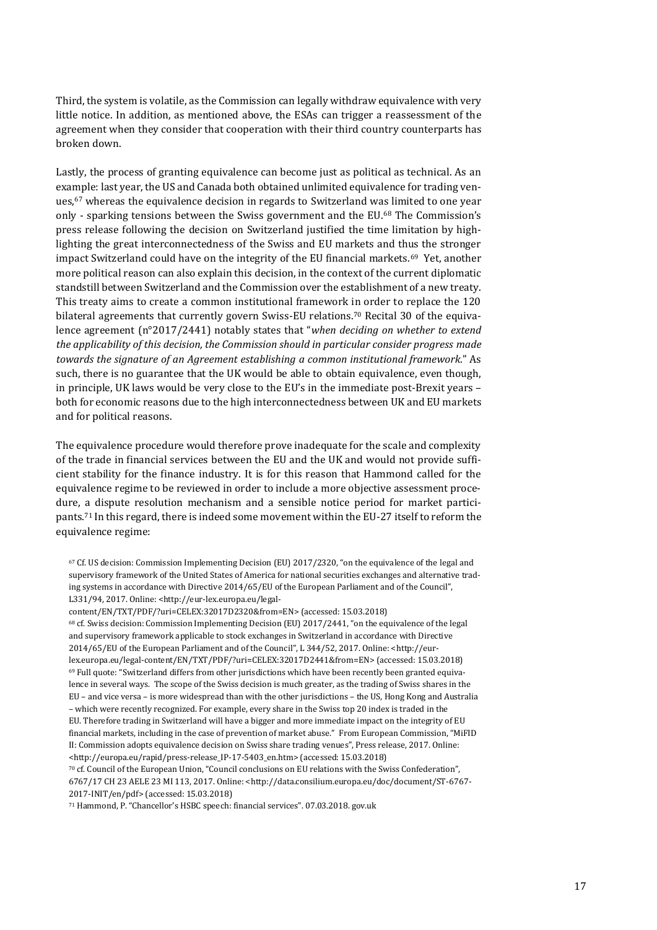Third, the system is volatile, as the Commission can legally withdraw equivalence with very little notice. In addition, as mentioned above, the ESAs can trigger a reassessment of the agreement when they consider that cooperation with their third country counterparts has broken down.

Lastly, the process of granting equivalence can become just as political as technical. As an example: last year, the US and Canada both obtained unlimited equivalence for trading venues,<sup>67</sup> whereas the equivalence decision in regards to Switzerland was limited to one year only - sparking tensions between the Swiss government and the EU.<sup>68</sup> The Commission's press release following the decision on Switzerland justified the time limitation by highlighting the great interconnectedness of the Swiss and EU markets and thus the stronger impact Switzerland could have on the integrity of the EU financial markets.69 Yet, another more political reason can also explain this decision, in the context of the current diplomatic standstill between Switzerland and the Commission over the establishment of a new treaty. This treaty aims to create a common institutional framework in order to replace the 120 bilateral agreements that currently govern Swiss-EU relations.<sup>70</sup> Recital 30 of the equivalence agreement (n°2017/2441) notably states that "*when deciding on whether to extend the applicability of this decision, the Commission should in particular consider progress made towards the signature of an Agreement establishing a common institutional framework*." As such, there is no guarantee that the UK would be able to obtain equivalence, even though, in principle, UK laws would be very close to the EU's in the immediate post-Brexit years – both for economic reasons due to the high interconnectedness between UK and EU markets and for political reasons.

The equivalence procedure would therefore prove inadequate for the scale and complexity of the trade in financial services between the EU and the UK and would not provide sufficient stability for the finance industry. It is for this reason that Hammond called for the equivalence regime to be reviewed in order to include a more objective assessment procedure, a dispute resolution mechanism and a sensible notice period for market participants.<sup>71</sup> In this regard, there is indeed some movement within the EU-27 itself to reform the equivalence regime:

[content/EN/TXT/PDF/?uri=CELEX:32017D2320&from=EN>](http://eur-lex.europa.eu/legal-content/EN/TXT/PDF/?uri=CELEX:32017D2320&from=EN) (accessed: 15.03.2018) <sup>68</sup> cf. Swiss decision: Commission Implementing Decision (EU) 2017/2441, "on the equivalence of the legal and supervisory framework applicable to stock exchanges in Switzerland in accordance with Directive 2014/65/EU of the European Parliament and of the Council", L 344/52, 2017. Online: <[http://eur](http://eur-lex.europa.eu/legal-content/EN/TXT/PDF/?uri=CELEX:32017D2441&from=EN)[lex.europa.eu/legal-content/EN/TXT/PDF/?uri=CELEX:32017D2441&from=EN>](http://eur-lex.europa.eu/legal-content/EN/TXT/PDF/?uri=CELEX:32017D2441&from=EN) (accessed: 15.03.2018) <sup>69</sup> Full quote: "Switzerland differs from other jurisdictions which have been recently been granted equivalence in several ways. The scope of the Swiss decision is much greater, as the trading of Swiss shares in the EU – and vice versa – is more widespread than with the other jurisdictions – the US, Hong Kong and Australia – which were recently recognized. For example, every share in the Swiss top 20 index is traded in the EU. Therefore trading in Switzerland will have a bigger and more immediate impact on the integrity of EU financial markets, including in the case of prevention of market abuse." From European Commission, "MiFID II: Commission adopts equivalence decision on Swiss share trading venues", Press release, 2017. Online: [<http://europa.eu/rapid/press-release\\_IP-17-5403\\_en.htm>](http://europa.eu/rapid/press-release_IP-17-5403_en.htm) (accessed: 15.03.2018) <sup>70</sup> cf. Council of the European Union, "Council conclusions on EU relations with the Swiss Confederation",

6767/17 CH 23 AELE 23 MI 113, 2017. Online: [<http://data.consilium.europa.eu/doc/document/ST-6767-](http://data.consilium.europa.eu/doc/document/ST-6767-2017-INIT/en/pdf) [2017-INIT/en/pdf>](http://data.consilium.europa.eu/doc/document/ST-6767-2017-INIT/en/pdf) (accessed: 15.03.2018)

<sup>71</sup> Hammond, P. "Chancellor's HSBC speech: financial services". 07.03.2018. gov.uk

<sup>67</sup> Cf. US decision: Commission Implementing Decision (EU) 2017/2320, "on the equivalence of the legal and supervisory framework of the United States of America for national securities exchanges and alternative trading systems in accordance with Directive 2014/65/EU of the European Parliament and of the Council", L331/94, 2017. Online: [<http://eur-lex.europa.eu/legal-](http://eur-lex.europa.eu/legal-content/EN/TXT/PDF/?uri=CELEX:32017D2320&from=EN)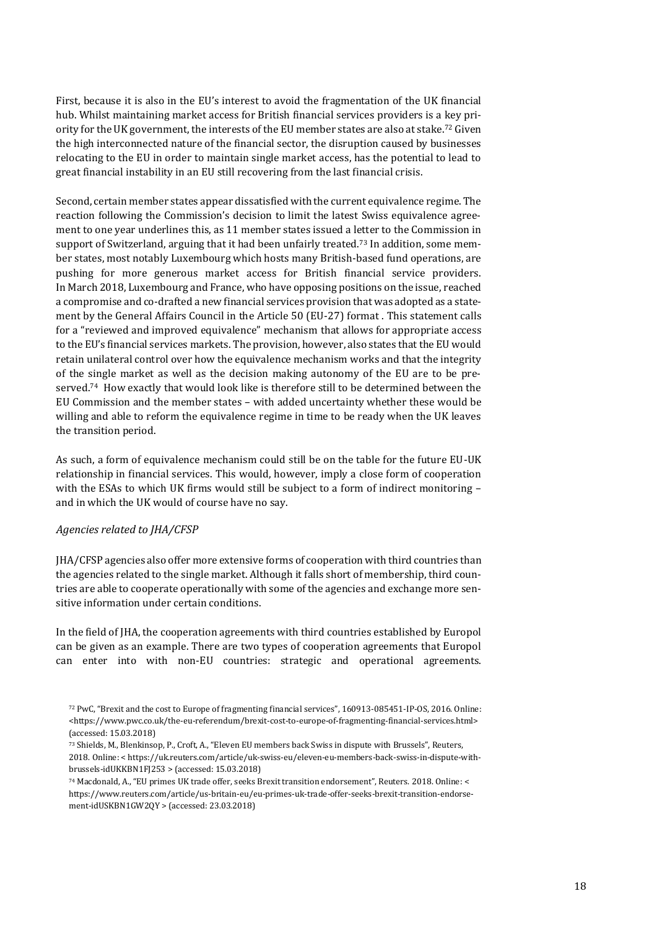First, because it is also in the EU's interest to avoid the fragmentation of the UK financial hub. Whilst maintaining market access for British financial services providers is a key priority for the UK government, the interests of the EU member states are also at stake.<sup>72</sup> Given the high interconnected nature of the financial sector, the disruption caused by businesses relocating to the EU in order to maintain single market access, has the potential to lead to great financial instability in an EU still recovering from the last financial crisis.

Second, certain member states appear dissatisfied with the current equivalence regime. The reaction following the Commission's decision to limit the latest Swiss equivalence agreement to one year underlines this, as 11 member states issued a letter to the Commission in support of Switzerland, arguing that it had been unfairly treated.<sup>73</sup> In addition, some member states, most notably Luxembourg which hosts many British-based fund operations, are pushing for more generous market access for British financial service providers. In March 2018, Luxembourg and France, who have opposing positions on the issue, reached a compromise and co-drafted a new financial services provision that was adopted as a statement by the General Affairs Council in the Article 50 (EU-27) format . This statement calls for a "reviewed and improved equivalence" mechanism that allows for appropriate access to the EU's financial services markets. The provision, however, also states that the EU would retain unilateral control over how the equivalence mechanism works and that the integrity of the single market as well as the decision making autonomy of the EU are to be preserved. <sup>74</sup> How exactly that would look like is therefore still to be determined between the EU Commission and the member states – with added uncertainty whether these would be willing and able to reform the equivalence regime in time to be ready when the UK leaves the transition period.

As such, a form of equivalence mechanism could still be on the table for the future EU-UK relationship in financial services. This would, however, imply a close form of cooperation with the ESAs to which UK firms would still be subject to a form of indirect monitoring – and in which the UK would of course have no say.

#### *Agencies related to JHA/CFSP*

JHA/CFSP agencies also offer more extensive forms of cooperation with third countries than the agencies related to the single market. Although it falls short of membership, third countries are able to cooperate operationally with some of the agencies and exchange more sensitive information under certain conditions.

In the field of JHA, the cooperation agreements with third countries established by Europol can be given as an example. There are two types of cooperation agreements that Europol can enter into with non-EU countries: strategic and operational agreements.

- <sup>73</sup> Shields, M., Blenkinsop, P., Croft, A., "Eleven EU members back Swiss in dispute with Brussels", Reuters, 2018. Online: [< https://uk.reuters.com/article/uk-swiss-eu/eleven-eu-members-back-swiss-in-dispute-with](https://uk.reuters.com/article/uk-swiss-eu/eleven-eu-members-back-swiss-in-dispute-with-brussels-idUKKBN1FJ253)[brussels-idUKKBN1FJ253](https://uk.reuters.com/article/uk-swiss-eu/eleven-eu-members-back-swiss-in-dispute-with-brussels-idUKKBN1FJ253) > (accessed: 15.03.2018)
- <sup>74</sup> Macdonald, A., "EU primes UK trade offer, seeks Brexit transition endorsement", Reuters. 2018. Online: < [https://www.reuters.com/article/us-britain-eu/eu-primes-uk-trade-offer-seeks-brexit-transition-endorse](https://www.reuters.com/article/us-britain-eu/eu-primes-uk-trade-offer-seeks-brexit-transition-endorsement-idUSKBN1GW2QY)[ment-idUSKBN1GW2QY](https://www.reuters.com/article/us-britain-eu/eu-primes-uk-trade-offer-seeks-brexit-transition-endorsement-idUSKBN1GW2QY) > (accessed: 23.03.2018)

<sup>72</sup> PwC, "Brexit and the cost to Europe of fragmenting financial services", 160913-085451-IP-OS, 2016. Online: [<https://www.pwc.co.uk/the-eu-referendum/brexit-cost-to-europe-of-fragmenting-financial-services.html>](https://www.pwc.co.uk/the-eu-referendum/brexit-cost-to-europe-of-fragmenting-financial-services.html) (accessed: 15.03.2018)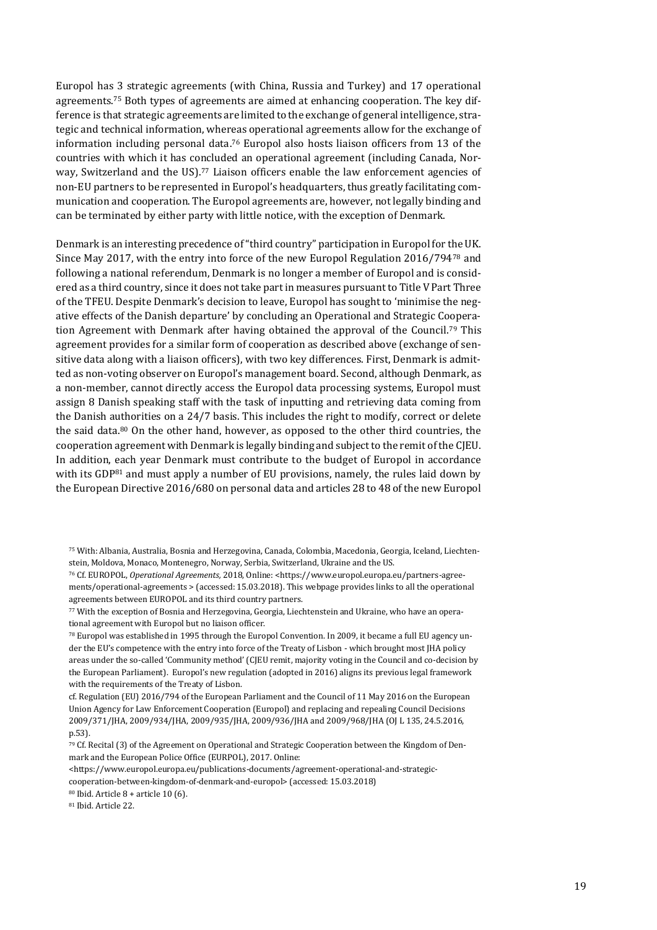Europol has 3 strategic agreements (with China, Russia and Turkey) and 17 operational agreements.<sup>75</sup> Both types of agreements are aimed at enhancing cooperation. The key difference is that strategic agreements are limited to the exchange of general intelligence, strategic and technical information, whereas operational agreements allow for the exchange of information including personal data. <sup>76</sup> Europol also hosts liaison officers from 13 of the countries with which it has concluded an operational agreement (including Canada, Norway, Switzerland and the US).<sup>77</sup> Liaison officers enable the law enforcement agencies of non-EU partners to be represented in Europol's headquarters, thus greatly facilitating communication and cooperation. The Europol agreements are, however, not legally binding and can be terminated by either party with little notice, with the exception of Denmark.

Denmark is an interesting precedence of "third country" participation in Europol for the UK. Since May 2017, with the entry into force of the new Europol Regulation 2016/794<sup>78</sup> and following a national referendum, Denmark is no longer a member of Europol and is considered as a third country, since it does not take part in measures pursuant to Title V Part Three of the TFEU. Despite Denmark's decision to leave, Europol has sought to 'minimise the negative effects of the Danish departure' by concluding an Operational and Strategic Cooperation Agreement with Denmark after having obtained the approval of the Council.<sup>79</sup> This agreement provides for a similar form of cooperation as described above (exchange of sensitive data along with a liaison officers), with two key differences. First, Denmark is admitted as non-voting observer on Europol's management board. Second, although Denmark, as a non-member, cannot directly access the Europol data processing systems, Europol must assign 8 Danish speaking staff with the task of inputting and retrieving data coming from the Danish authorities on a 24/7 basis. This includes the right to modify, correct or delete the said data. <sup>80</sup> On the other hand, however, as opposed to the other third countries, the cooperation agreement with Denmark is legally binding and subject to the remit of the CJEU. In addition, each year Denmark must contribute to the budget of Europol in accordance with its  $GDP<sup>81</sup>$  and must apply a number of EU provisions, namely, the rules laid down by the European Directive 2016/680 on personal data and articles 28 to 48 of the new Europol

<sup>78</sup> Europol was established in 1995 through the Europol Convention. In 2009, it became a full EU agency under the EU's competence with the entry into force of the Treaty of Lisbon - which brought most JHA policy areas under the so-called 'Community method' (CJEU remit, majority voting in the Council and co-decision by the European Parliament). Europol's new regulation (adopted in 2016) aligns its previous legal framework with the requirements of the Treaty of Lisbon.

cf. Regulation (EU) 2016/794 of the European Parliament and the Council of 11 May 2016 on the European Union Agency for Law Enforcement Cooperation (Europol) and replacing and repealing Council Decisions 2009/371/JHA, 2009/934/JHA, 2009/935/JHA, 2009/936/JHA and 2009/968/JHA (OJ L 135, 24.5.2016, p.53).

 $80$  Ibid. Article  $8 +$  article 10 (6).

<sup>75</sup> With: Albania, Australia, Bosnia and Herzegovina, Canada, Colombia, Macedonia, Georgia, Iceland, Liechtenstein, Moldova, Monaco, Montenegro, Norway, Serbia, Switzerland, Ukraine and the US.

<sup>76</sup> Cf. EUROPOL, *Operational Agreements,* 2018, Online: <https://www.europol.europa.eu/partners-agreements/operational-agreements > (accessed: 15.03.2018). This webpage provides links to all the operational agreements between EUROPOL and its third country partners.

<sup>77</sup> With the exception of Bosnia and Herzegovina, Georgia, Liechtenstein and Ukraine, who have an operational agreement with Europol but no liaison officer.

<sup>79</sup> Cf. Recital (3) of the Agreement on Operational and Strategic Cooperation between the Kingdom of Denmark and the European Police Office (EURPOL), 2017. Online:

[<sup>&</sup>lt;https://www.europol.europa.eu/publications-documents/agreement-operational-and-strategic-](https://www.europol.europa.eu/publications-documents/agreement-operational-and-strategic-cooperation-between-kingdom-of-denmark-and-europol)

[cooperation-between-kingdom-of-denmark-and-europol>](https://www.europol.europa.eu/publications-documents/agreement-operational-and-strategic-cooperation-between-kingdom-of-denmark-and-europol) (accessed: 15.03.2018)

<sup>81</sup> Ibid. Article 22.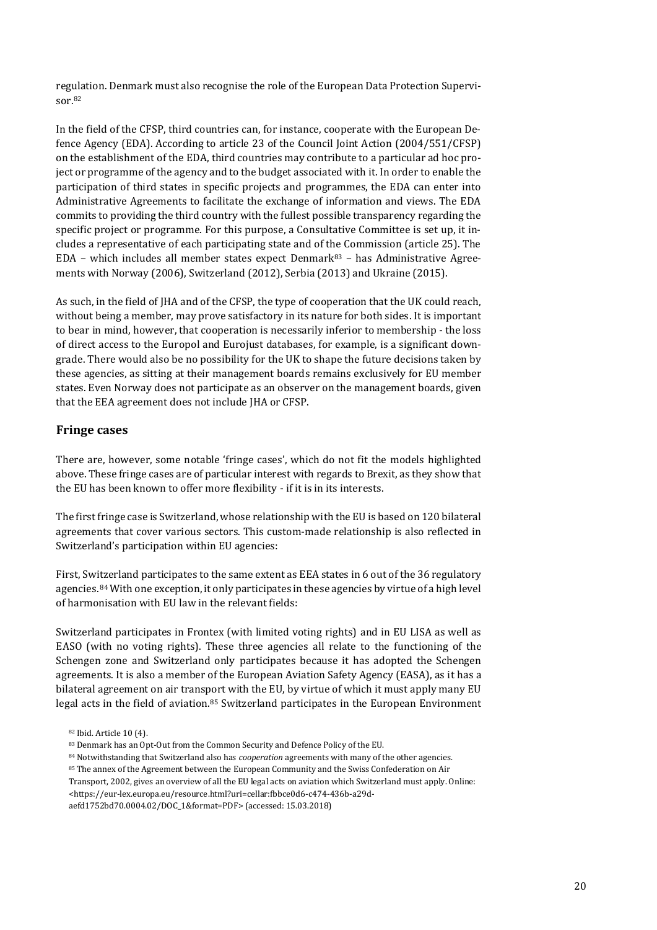regulation. Denmark must also recognise the role of the European Data Protection Supervisor  $82$ 

In the field of the CFSP, third countries can, for instance, cooperate with the European Defence Agency (EDA). According to article 23 of the Council Joint Action (2004/551/CFSP) on the establishment of the EDA, third countries may contribute to a particular ad hoc project or programme of the agency and to the budget associated with it. In order to enable the participation of third states in specific projects and programmes, the EDA can enter into Administrative Agreements to facilitate the exchange of information and views. The EDA commits to providing the third country with the fullest possible transparency regarding the specific project or programme. For this purpose, a Consultative Committee is set up, it includes a representative of each participating state and of the Commission (article 25). The  $EDA$  – which includes all member states expect Denmark $83$  – has Administrative Agreements with Norway (2006), Switzerland (2012), Serbia (2013) and Ukraine (2015).

As such, in the field of JHA and of the CFSP, the type of cooperation that the UK could reach, without being a member, may prove satisfactory in its nature for both sides. It is important to bear in mind, however, that cooperation is necessarily inferior to membership - the loss of direct access to the Europol and Eurojust databases, for example, is a significant downgrade. There would also be no possibility for the UK to shape the future decisions taken by these agencies, as sitting at their management boards remains exclusively for EU member states. Even Norway does not participate as an observer on the management boards, given that the EEA agreement does not include JHA or CFSP.

## <span id="page-19-0"></span>**Fringe cases**

There are, however, some notable 'fringe cases', which do not fit the models highlighted above. These fringe cases are of particular interest with regards to Brexit, as they show that the EU has been known to offer more flexibility - if it is in its interests.

The first fringe case is Switzerland, whose relationship with the EU is based on 120 bilateral agreements that cover various sectors. This custom-made relationship is also reflected in Switzerland's participation within EU agencies:

First, Switzerland participates to the same extent as EEA states in 6 out of the 36 regulatory agencies. <sup>84</sup> With one exception, it only participates in these agencies by virtue of a high level of harmonisation with EU law in the relevant fields:

Switzerland participates in Frontex (with limited voting rights) and in EU LISA as well as EASO (with no voting rights). These three agencies all relate to the functioning of the Schengen zone and Switzerland only participates because it has adopted the Schengen agreements. It is also a member of the European Aviation Safety Agency (EASA), as it has a bilateral agreement on air transport with the EU, by virtue of which it must apply many EU legal acts in the field of aviation.<sup>85</sup> Switzerland participates in the European Environment

<sup>82</sup> Ibid. Article 10 (4).

<sup>83</sup> Denmark has an Opt-Out from the Common Security and Defence Policy of the EU.

<sup>84</sup> Notwithstanding that Switzerland also has *cooperation* agreements with many of the other agencies.

<sup>&</sup>lt;sup>85</sup> The annex of the Agreement between the European Community and the Swiss Confederation on Air

Transport, 2002, gives an overview of all the EU legal acts on aviation which Switzerland must apply. Online: [<https://eur-lex.europa.eu/resource.html?uri=cellar:fbbce0d6-c474-436b-a29d-](https://eur-lex.europa.eu/resource.html?uri=cellar:fbbce0d6-c474-436b-a29d-aefd1752bd70.0004.02/DOC_1&format=PDF)

[aefd1752bd70.0004.02/DOC\\_1&format=PDF>](https://eur-lex.europa.eu/resource.html?uri=cellar:fbbce0d6-c474-436b-a29d-aefd1752bd70.0004.02/DOC_1&format=PDF) (accessed: 15.03.2018)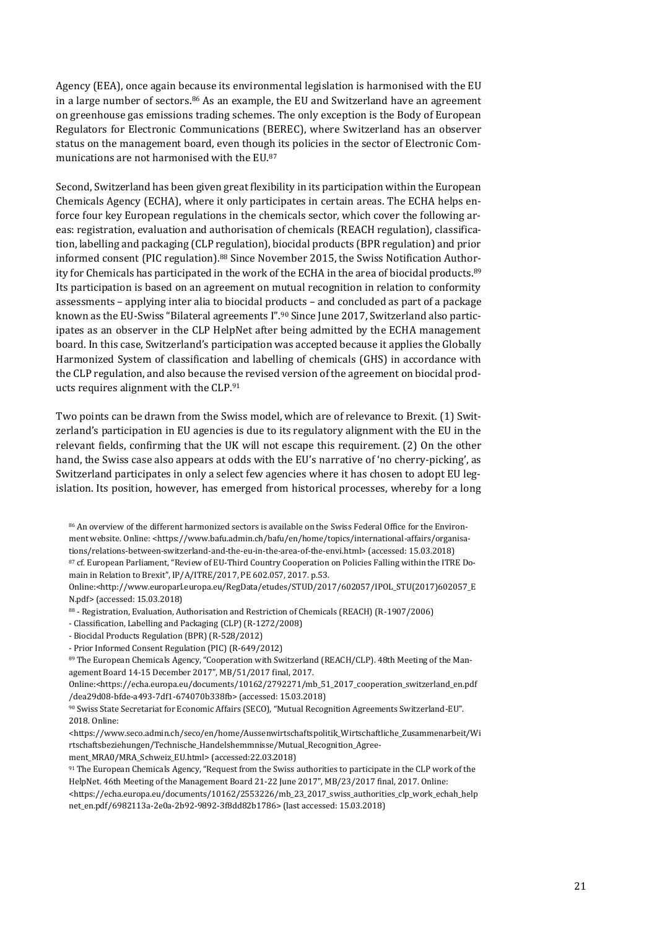Agency (EEA), once again because its environmental legislation is harmonised with the EU in a large number of sectors.<sup>86</sup> As an example, the EU and Switzerland have an agreement on greenhouse gas emissions trading schemes. The only exception is the Body of European Regulators for Electronic Communications (BEREC), where Switzerland has an observer status on the management board, even though its policies in the sector of Electronic Communications are not harmonised with the EU.<sup>87</sup>

Second, Switzerland has been given great flexibility in its participation within the European Chemicals Agency (ECHA), where it only participates in certain areas. The ECHA helps enforce four key European regulations in the chemicals sector, which cover the following areas: registration, evaluation and authorisation of chemicals (REACH regulation), classification, labelling and packaging (CLP regulation), biocidal products (BPR regulation) and prior informed consent (PIC regulation).<sup>88</sup> Since November 2015, the Swiss Notification Authority for Chemicals has participated in the work of the ECHA in the area of biocidal products.<sup>89</sup> Its participation is based on an agreement on mutual recognition in relation to conformity assessments – applying inter alia to biocidal products – and concluded as part of a package known as the EU-Swiss "Bilateral agreements I". <sup>90</sup> Since June 2017, Switzerland also participates as an observer in the CLP HelpNet after being admitted by the ECHA management board. In this case, Switzerland's participation was accepted because it applies the Globally Harmonized System of classification and labelling of chemicals (GHS) in accordance with the CLP regulation, and also because the revised version of the agreement on biocidal products requires alignment with the CLP.<sup>91</sup>

Two points can be drawn from the Swiss model, which are of relevance to Brexit. (1) Switzerland's participation in EU agencies is due to its regulatory alignment with the EU in the relevant fields, confirming that the UK will not escape this requirement. (2) On the other hand, the Swiss case also appears at odds with the EU's narrative of 'no cherry-picking', as Switzerland participates in only a select few agencies where it has chosen to adopt EU legislation. Its position, however, has emerged from historical processes, whereby for a long

86 An overview of the different harmonized sectors is available on the Swiss Federal Office for the Environment website. Online: <https://www.bafu.admin.ch/bafu/en/home/topics/international-affairs/organisations/relations-between-switzerland-and-the-eu-in-the-area-of-the-envi.html> (accessed: 15.03.2018) <sup>87</sup> cf. European Parliament, "Review of EU-Third Country Cooperation on Policies Falling within the ITRE Domain in Relation to Brexit", IP/A/ITRE/2017, PE 602.057, 2017. p.53.

- <sup>88</sup> Registration, Evaluation, Authorisation and Restriction of Chemicals (REACH) (R-1907/2006)
- Classification, Labelling and Packaging (CLP) (R-1272/2008)
- Biocidal Products Regulation (BPR) (R-528/2012)
- Prior Informed Consent Regulation (PIC) (R-649/2012)

89 The European Chemicals Agency, "Cooperation with Switzerland (REACH/CLP). 48th Meeting of the Management Board 14-15 December 2017", MB/51/2017 final, 2017.

Online:[<https://echa.europa.eu/documents/10162/2792271/mb\\_51\\_2017\\_cooperation\\_switzerland\\_en.pdf](https://echa.europa.eu/documents/10162/2792271/mb_51_2017_cooperation_switzerland_en.pdf/dea29d08-bfde-a493-7df1-674070b338fb) [/dea29d08-bfde-a493-7df1-674070b338fb>](https://echa.europa.eu/documents/10162/2792271/mb_51_2017_cooperation_switzerland_en.pdf/dea29d08-bfde-a493-7df1-674070b338fb) (accessed: 15.03.2018)

[<https://www.seco.admin.ch/seco/en/home/Aussenwirtschaftspolitik\\_Wirtschaftliche\\_Zusammenarbeit/Wi](https://www.seco.admin.ch/seco/en/home/Aussenwirtschaftspolitik_Wirtschaftliche_Zusammenarbeit/Wirtschaftsbeziehungen/Technische_Handelshemmnisse/Mutual_Recognition_Agreement_MRA0/MRA_Schweiz_EU.html) [rtschaftsbeziehungen/Technische\\_Handelshemmnisse/Mutual\\_Recognition\\_Agree-](https://www.seco.admin.ch/seco/en/home/Aussenwirtschaftspolitik_Wirtschaftliche_Zusammenarbeit/Wirtschaftsbeziehungen/Technische_Handelshemmnisse/Mutual_Recognition_Agreement_MRA0/MRA_Schweiz_EU.html)

[ment\\_MRA0/MRA\\_Schweiz\\_EU.html>](https://www.seco.admin.ch/seco/en/home/Aussenwirtschaftspolitik_Wirtschaftliche_Zusammenarbeit/Wirtschaftsbeziehungen/Technische_Handelshemmnisse/Mutual_Recognition_Agreement_MRA0/MRA_Schweiz_EU.html) (accessed:22.03.2018)

91 The European Chemicals Agency, "Request from the Swiss authorities to participate in the CLP work of the HelpNet. 46th Meeting of the Management Board 21-22 June 2017", MB/23/2017 final, 2017. Online:

[<https://echa.europa.eu/documents/10162/2553226/mb\\_23\\_2017\\_swiss\\_authorities\\_clp\\_work\\_echah\\_help](https://echa.europa.eu/documents/10162/2553226/mb_23_2017_swiss_authorities_clp_work_echah_helpnet_en.pdf/6982113a-2e0a-2b92-9892-3f8dd82b1786) [net\\_en.pdf/6982113a-2e0a-2b92-9892-3f8dd82b1786>](https://echa.europa.eu/documents/10162/2553226/mb_23_2017_swiss_authorities_clp_work_echah_helpnet_en.pdf/6982113a-2e0a-2b92-9892-3f8dd82b1786) (last accessed: 15.03.2018)

Online:[<http://www.europarl.europa.eu/RegData/etudes/STUD/2017/602057/IPOL\\_STU\(2017\)602057\\_E](http://www.europarl.europa.eu/RegData/etudes/STUD/2017/602057/IPOL_STU(2017)602057_EN.pdf) [N.pdf>](http://www.europarl.europa.eu/RegData/etudes/STUD/2017/602057/IPOL_STU(2017)602057_EN.pdf) (accessed: 15.03.2018)

<sup>90</sup> Swiss State Secretariat for Economic Affairs (SECO), "Mutual Recognition Agreements Switzerland-EU". 2018. Online: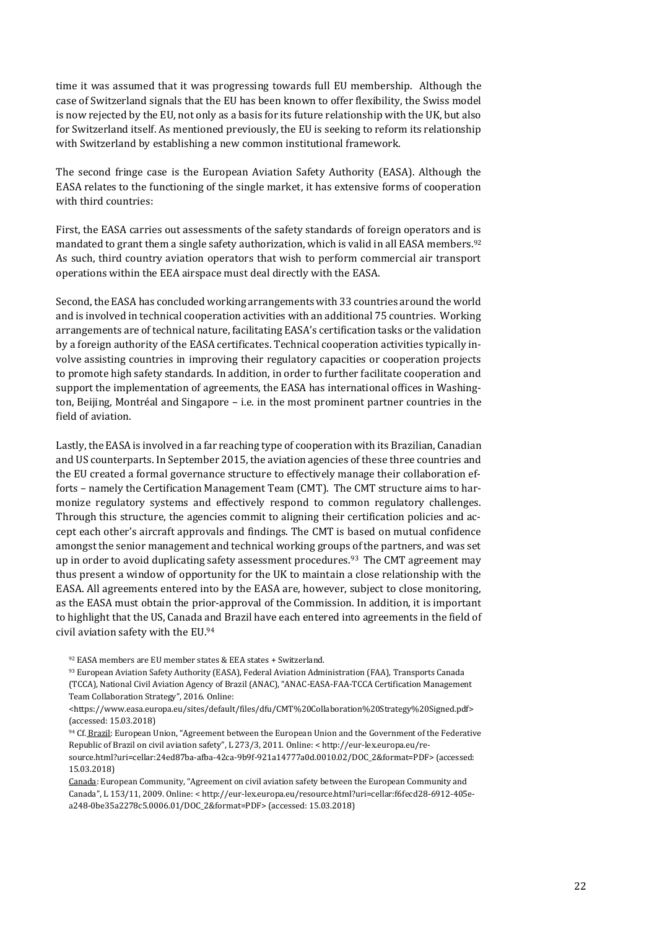time it was assumed that it was progressing towards full EU membership. Although the case of Switzerland signals that the EU has been known to offer flexibility, the Swiss model is now rejected by the EU, not only as a basis for its future relationship with the UK, but also for Switzerland itself. As mentioned previously, the EU is seeking to reform its relationship with Switzerland by establishing a new common institutional framework.

The second fringe case is the European Aviation Safety Authority (EASA). Although the EASA relates to the functioning of the single market, it has extensive forms of cooperation with third countries:

First, the EASA carries out assessments of the safety standards of foreign operators and is mandated to grant them a single safety authorization, which is valid in all EASA members.<sup>92</sup> As such, third country aviation operators that wish to perform commercial air transport operations within the EEA airspace must deal directly with the EASA.

Second, the EASA has concluded working arrangements with 33 countries around the world and is involved in technical cooperation activities with an additional 75 countries. Working arrangements are of technical nature, facilitating EASA's certification tasks or the validation by a foreign authority of the EASA certificates. Technical cooperation activities typically involve assisting countries in improving their regulatory capacities or cooperation projects to promote high safety standards. In addition, in order to further facilitate cooperation and support the implementation of agreements, the EASA has international offices in Washington, Beijing, Montréal and Singapore – i.e. in the most prominent partner countries in the field of aviation.

Lastly, the EASA is involved in a far reaching type of cooperation with its Brazilian, Canadian and US counterparts. In September 2015, the aviation agencies of these three countries and the EU created a formal governance structure to effectively manage their collaboration efforts – namely the Certification Management Team (CMT). The CMT structure aims to harmonize regulatory systems and effectively respond to common regulatory challenges. Through this structure, the agencies commit to aligning their certification policies and accept each other's aircraft approvals and findings. The CMT is based on mutual confidence amongst the senior management and technical working groups of the partners, and was set up in order to avoid duplicating safety assessment procedures.<sup>93</sup> The CMT agreement may thus present a window of opportunity for the UK to maintain a close relationship with the EASA. All agreements entered into by the EASA are, however, subject to close monitoring, as the EASA must obtain the prior-approval of the Commission. In addition, it is important to highlight that the US, Canada and Brazil have each entered into agreements in the field of civil aviation safety with the EU.<sup>94</sup>

<sup>92</sup> EASA members are EU member states & EEA states + Switzerland.

<sup>93</sup> European Aviation Safety Authority (EASA), Federal Aviation Administration (FAA), Transports Canada (TCCA), National Civil Aviation Agency of Brazil (ANAC), "ANAC-EASA-FAA-TCCA Certification Management Team Collaboration Strategy", 2016. Online:

94 Cf. Brazil: European Union, "Agreement between the European Union and the Government of the Federative Republic of Brazil on civil aviation safety", L 273/3, 2011. Online: [< http://eur-lex.europa.eu/re-](http://eur-lex.europa.eu/resource.html?uri=cellar:24ed87ba-afba-42ca-9b9f-921a14777a0d.0010.02/DOC_2&format=PDF)

[<sup>&</sup>lt;https://www.easa.europa.eu/sites/default/files/dfu/CMT%20Collaboration%20Strategy%20Signed.pdf>](https://www.easa.europa.eu/sites/default/files/dfu/CMT%20Collaboration%20Strategy%20Signed.pdf) (accessed: 15.03.2018)

[source.html?uri=cellar:24ed87ba-afba-42ca-9b9f-921a14777a0d.0010.02/DOC\\_2&format=PDF>](http://eur-lex.europa.eu/resource.html?uri=cellar:24ed87ba-afba-42ca-9b9f-921a14777a0d.0010.02/DOC_2&format=PDF) (accessed: 15.03.2018)

Canada: European Community, "Agreement on civil aviation safety between the European Community and Canada", L 153/11, 2009. Online: < [http://eur-lex.europa.eu/resource.html?uri=cellar:f6fecd28-6912-405e](http://eur-lex.europa.eu/resource.html?uri=cellar:f6fecd28-6912-405e-a248-0be35a2278c5.0006.01/DOC_2&format=PDF)[a248-0be35a2278c5.0006.01/DOC\\_2&format=PDF>](http://eur-lex.europa.eu/resource.html?uri=cellar:f6fecd28-6912-405e-a248-0be35a2278c5.0006.01/DOC_2&format=PDF) (accessed: 15.03.2018)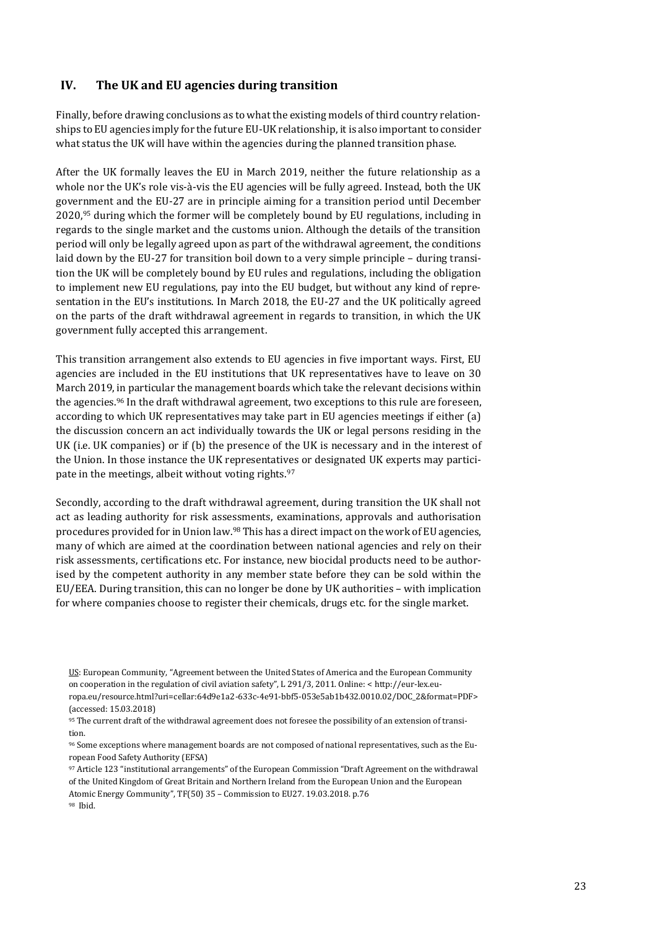## <span id="page-22-0"></span>**IV. The UK and EU agencies during transition**

Finally, before drawing conclusions as to what the existing models of third country relationships to EU agencies imply for the future EU-UK relationship, it is also important to consider what status the UK will have within the agencies during the planned transition phase.

After the UK formally leaves the EU in March 2019, neither the future relationship as a whole nor the UK's role vis-à-vis the EU agencies will be fully agreed. Instead, both the UK government and the EU-27 are in principle aiming for a transition period until December 2020,<sup>95</sup> during which the former will be completely bound by EU regulations, including in regards to the single market and the customs union. Although the details of the transition period will only be legally agreed upon as part of the withdrawal agreement, the conditions laid down by the EU-27 for transition boil down to a very simple principle – during transition the UK will be completely bound by EU rules and regulations, including the obligation to implement new EU regulations, pay into the EU budget, but without any kind of representation in the EU's institutions. In March 2018, the EU-27 and the UK politically agreed on the parts of the draft withdrawal agreement in regards to transition, in which the UK government fully accepted this arrangement.

This transition arrangement also extends to EU agencies in five important ways. First, EU agencies are included in the EU institutions that UK representatives have to leave on 30 March 2019, in particular the management boards which take the relevant decisions within the agencies.<sup>96</sup> In the draft withdrawal agreement, two exceptions to this rule are foreseen, according to which UK representatives may take part in EU agencies meetings if either (a) the discussion concern an act individually towards the UK or legal persons residing in the UK (i.e. UK companies) or if (b) the presence of the UK is necessary and in the interest of the Union. In those instance the UK representatives or designated UK experts may participate in the meetings, albeit without voting rights.<sup>97</sup>

Secondly, according to the draft withdrawal agreement, during transition the UK shall not act as leading authority for risk assessments, examinations, approvals and authorisation procedures provided for in Union law.<sup>98</sup> This has a direct impact on the work of EU agencies, many of which are aimed at the coordination between national agencies and rely on their risk assessments, certifications etc. For instance, new biocidal products need to be authorised by the competent authority in any member state before they can be sold within the EU/EEA. During transition, this can no longer be done by UK authorities – with implication for where companies choose to register their chemicals, drugs etc. for the single market.

- US: European Community, "Agreement between the United States of America and the European Community on cooperation in the regulation of civil aviation safety", L 291/3, 2011. Online: < [http://eur-lex.eu](http://eur-lex.europa.eu/resource.html?uri=cellar:64d9e1a2-633c-4e91-bbf5-053e5ab1b432.0010.02/DOC_2&format=PDF)[ropa.eu/resource.html?uri=cellar:64d9e1a2-633c-4e91-bbf5-053e5ab1b432.0010.02/DOC\\_2&format=PDF>](http://eur-lex.europa.eu/resource.html?uri=cellar:64d9e1a2-633c-4e91-bbf5-053e5ab1b432.0010.02/DOC_2&format=PDF) (accessed: 15.03.2018)
- 95 The current draft of the withdrawal agreement does not foresee the possibility of an extension of transition.
- <sup>96</sup> Some exceptions where management boards are not composed of national representatives, such as the European Food Safety Authority (EFSA)
- <sup>97</sup> Article 123 "institutional arrangements" of the European Commission "Draft Agreement on the withdrawal of the United Kingdom of Great Britain and Northern Ireland from the European Union and the European Atomic Energy Community", TF(50) 35 – Commission to EU27. 19.03.2018. p.76 <sup>98</sup> Ibid.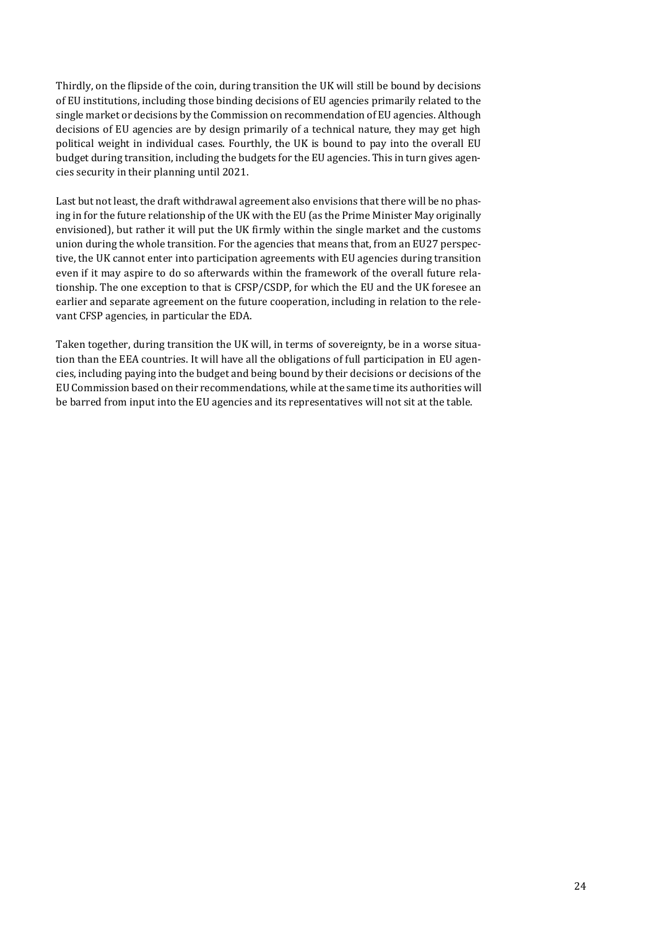Thirdly, on the flipside of the coin, during transition the UK will still be bound by decisions of EU institutions, including those binding decisions of EU agencies primarily related to the single market or decisions by the Commission on recommendation of EU agencies. Although decisions of EU agencies are by design primarily of a technical nature, they may get high political weight in individual cases. Fourthly, the UK is bound to pay into the overall EU budget during transition, including the budgets for the EU agencies. This in turn gives agencies security in their planning until 2021.

Last but not least, the draft withdrawal agreement also envisions that there will be no phasing in for the future relationship of the UK with the EU (as the Prime Minister May originally envisioned), but rather it will put the UK firmly within the single market and the customs union during the whole transition. For the agencies that means that, from an EU27 perspective, the UK cannot enter into participation agreements with EU agencies during transition even if it may aspire to do so afterwards within the framework of the overall future relationship. The one exception to that is CFSP/CSDP, for which the EU and the UK foresee an earlier and separate agreement on the future cooperation, including in relation to the relevant CFSP agencies, in particular the EDA.

Taken together, during transition the UK will, in terms of sovereignty, be in a worse situation than the EEA countries. It will have all the obligations of full participation in EU agencies, including paying into the budget and being bound by their decisions or decisions of the EU Commission based on their recommendations, while at the same time its authorities will be barred from input into the EU agencies and its representatives will not sit at the table.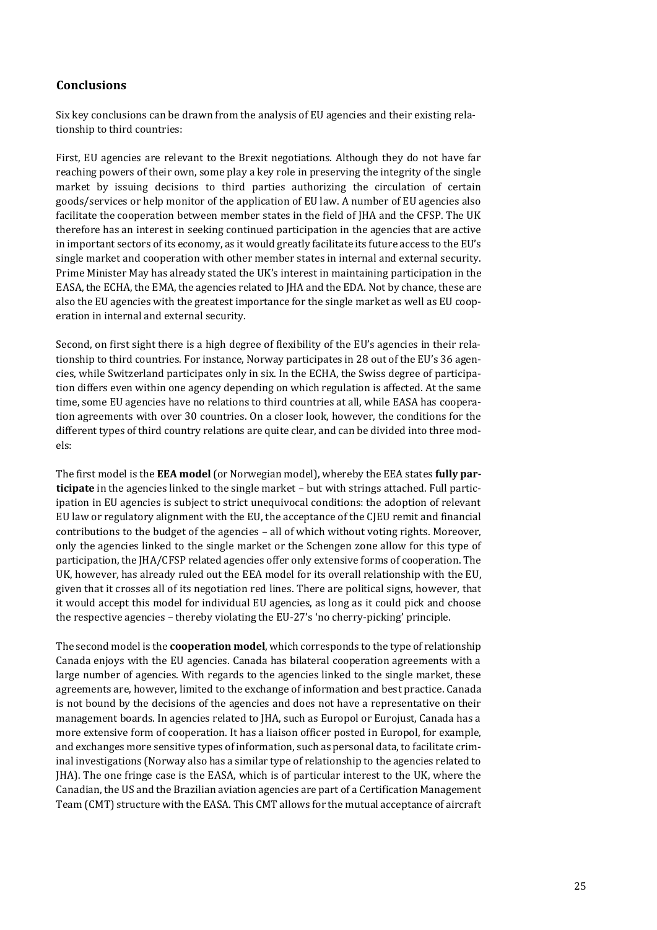## <span id="page-24-0"></span>**Conclusions**

Six key conclusions can be drawn from the analysis of EU agencies and their existing relationship to third countries:

First, EU agencies are relevant to the Brexit negotiations. Although they do not have far reaching powers of their own, some play a key role in preserving the integrity of the single market by issuing decisions to third parties authorizing the circulation of certain goods/services or help monitor of the application of EU law. A number of EU agencies also facilitate the cooperation between member states in the field of JHA and the CFSP. The UK therefore has an interest in seeking continued participation in the agencies that are active in important sectors of its economy, as it would greatly facilitate its future access to the EU's single market and cooperation with other member states in internal and external security. Prime Minister May has already stated the UK's interest in maintaining participation in the EASA, the ECHA, the EMA, the agencies related to JHA and the EDA. Not by chance, these are also the EU agencies with the greatest importance for the single market as well as EU cooperation in internal and external security.

Second, on first sight there is a high degree of flexibility of the EU's agencies in their relationship to third countries. For instance, Norway participates in 28 out of the EU's 36 agencies, while Switzerland participates only in six. In the ECHA, the Swiss degree of participation differs even within one agency depending on which regulation is affected. At the same time, some EU agencies have no relations to third countries at all, while EASA has cooperation agreements with over 30 countries. On a closer look, however, the conditions for the different types of third country relations are quite clear, and can be divided into three models:

The first model is the **EEA model** (or Norwegian model), whereby the EEA states **fully participate** in the agencies linked to the single market – but with strings attached. Full participation in EU agencies is subject to strict unequivocal conditions: the adoption of relevant EU law or regulatory alignment with the EU, the acceptance of the CJEU remit and financial contributions to the budget of the agencies – all of which without voting rights. Moreover, only the agencies linked to the single market or the Schengen zone allow for this type of participation, the JHA/CFSP related agencies offer only extensive forms of cooperation. The UK, however, has already ruled out the EEA model for its overall relationship with the EU, given that it crosses all of its negotiation red lines. There are political signs, however, that it would accept this model for individual EU agencies, as long as it could pick and choose the respective agencies – thereby violating the EU-27's 'no cherry-picking' principle.

The second model is the **cooperation model**, which corresponds to the type of relationship Canada enjoys with the EU agencies. Canada has bilateral cooperation agreements with a large number of agencies. With regards to the agencies linked to the single market, these agreements are, however, limited to the exchange of information and best practice. Canada is not bound by the decisions of the agencies and does not have a representative on their management boards. In agencies related to JHA, such as Europol or Eurojust, Canada has a more extensive form of cooperation. It has a liaison officer posted in Europol, for example, and exchanges more sensitive types of information, such as personal data, to facilitate criminal investigations (Norway also has a similar type of relationship to the agencies related to JHA). The one fringe case is the EASA, which is of particular interest to the UK, where the Canadian, the US and the Brazilian aviation agencies are part of a Certification Management Team (CMT) structure with the EASA. This CMT allows for the mutual acceptance of aircraft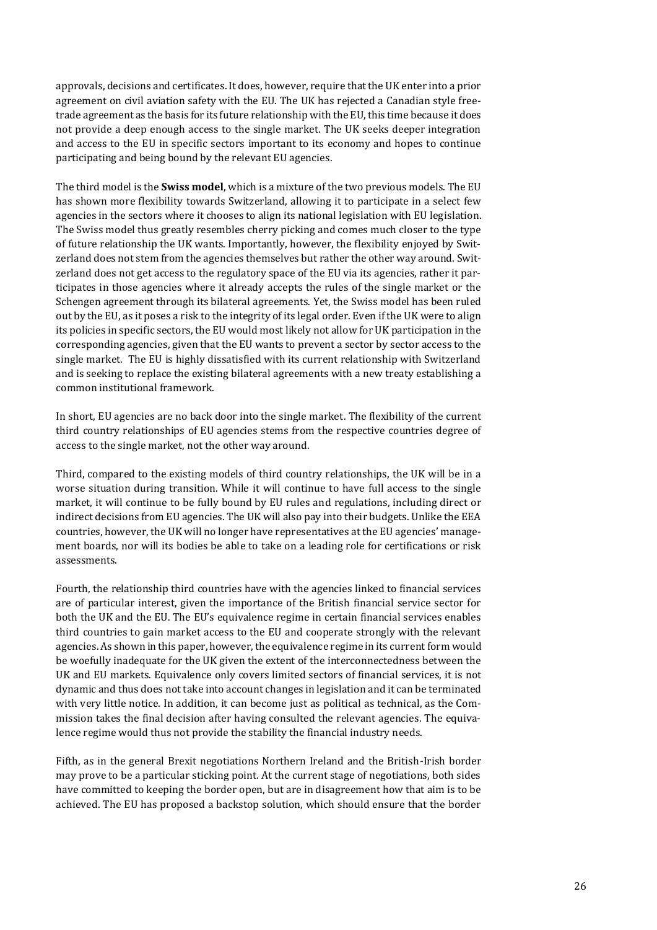approvals, decisions and certificates. It does, however, require that the UK enter into a prior agreement on civil aviation safety with the EU. The UK has rejected a Canadian style freetrade agreement as the basis for its future relationship with the EU, this time because it does not provide a deep enough access to the single market. The UK seeks deeper integration and access to the EU in specific sectors important to its economy and hopes to continue participating and being bound by the relevant EU agencies.

The third model is the **Swiss model**, which is a mixture of the two previous models. The EU has shown more flexibility towards Switzerland, allowing it to participate in a select few agencies in the sectors where it chooses to align its national legislation with EU legislation. The Swiss model thus greatly resembles cherry picking and comes much closer to the type of future relationship the UK wants. Importantly, however, the flexibility enjoyed by Switzerland does not stem from the agencies themselves but rather the other way around. Switzerland does not get access to the regulatory space of the EU via its agencies, rather it participates in those agencies where it already accepts the rules of the single market or the Schengen agreement through its bilateral agreements. Yet, the Swiss model has been ruled out by the EU, as it poses a risk to the integrity of its legal order. Even if the UK were to align its policies in specific sectors, the EU would most likely not allow for UK participation in the corresponding agencies, given that the EU wants to prevent a sector by sector access to the single market. The EU is highly dissatisfied with its current relationship with Switzerland and is seeking to replace the existing bilateral agreements with a new treaty establishing a common institutional framework.

In short, EU agencies are no back door into the single market. The flexibility of the current third country relationships of EU agencies stems from the respective countries degree of access to the single market, not the other way around.

Third, compared to the existing models of third country relationships, the UK will be in a worse situation during transition. While it will continue to have full access to the single market, it will continue to be fully bound by EU rules and regulations, including direct or indirect decisions from EU agencies. The UK will also pay into their budgets. Unlike the EEA countries, however, the UK will no longer have representatives at the EU agencies' management boards, nor will its bodies be able to take on a leading role for certifications or risk assessments.

Fourth, the relationship third countries have with the agencies linked to financial services are of particular interest, given the importance of the British financial service sector for both the UK and the EU. The EU's equivalence regime in certain financial services enables third countries to gain market access to the EU and cooperate strongly with the relevant agencies. As shown in this paper, however, the equivalence regime in its current form would be woefully inadequate for the UK given the extent of the interconnectedness between the UK and EU markets. Equivalence only covers limited sectors of financial services, it is not dynamic and thus does not take into account changes in legislation and it can be terminated with very little notice. In addition, it can become just as political as technical, as the Commission takes the final decision after having consulted the relevant agencies. The equivalence regime would thus not provide the stability the financial industry needs.

Fifth, as in the general Brexit negotiations Northern Ireland and the British-Irish border may prove to be a particular sticking point. At the current stage of negotiations, both sides have committed to keeping the border open, but are in disagreement how that aim is to be achieved. The EU has proposed a backstop solution, which should ensure that the border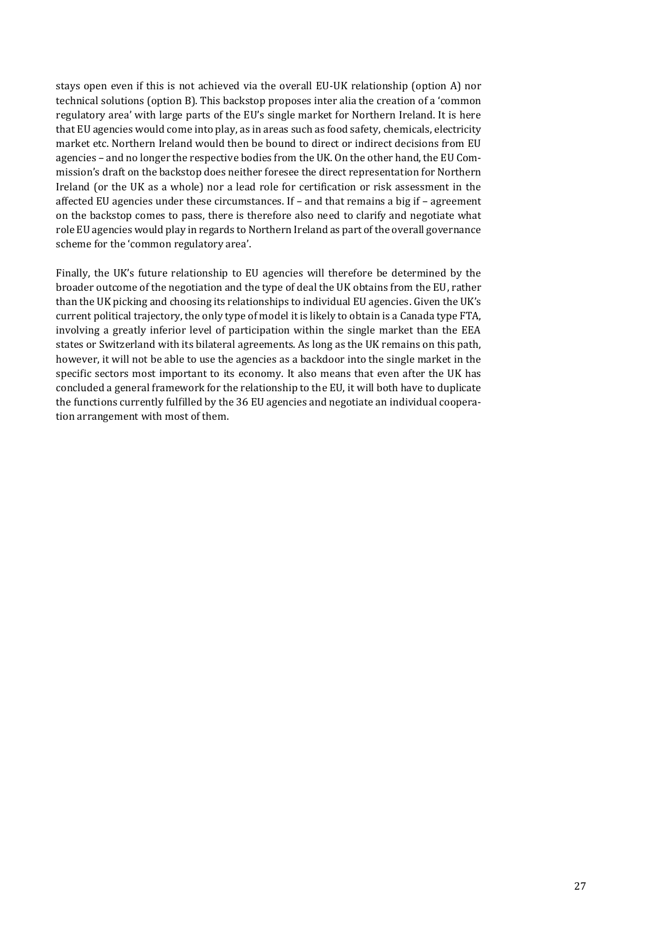stays open even if this is not achieved via the overall EU-UK relationship (option A) nor technical solutions (option B). This backstop proposes inter alia the creation of a 'common regulatory area' with large parts of the EU's single market for Northern Ireland. It is here that EU agencies would come into play, as in areas such as food safety, chemicals, electricity market etc. Northern Ireland would then be bound to direct or indirect decisions from EU agencies – and no longer the respective bodies from the UK. On the other hand, the EU Commission's draft on the backstop does neither foresee the direct representation for Northern Ireland (or the UK as a whole) nor a lead role for certification or risk assessment in the affected EU agencies under these circumstances. If – and that remains a big if – agreement on the backstop comes to pass, there is therefore also need to clarify and negotiate what role EU agencies would play in regards to Northern Ireland as part of the overall governance scheme for the 'common regulatory area'.

Finally, the UK's future relationship to EU agencies will therefore be determined by the broader outcome of the negotiation and the type of deal the UK obtains from the EU, rather than the UK picking and choosing its relationships to individual EU agencies. Given the UK's current political trajectory, the only type of model it is likely to obtain is a Canada type FTA, involving a greatly inferior level of participation within the single market than the EEA states or Switzerland with its bilateral agreements. As long as the UK remains on this path, however, it will not be able to use the agencies as a backdoor into the single market in the specific sectors most important to its economy. It also means that even after the UK has concluded a general framework for the relationship to the EU, it will both have to duplicate the functions currently fulfilled by the 36 EU agencies and negotiate an individual cooperation arrangement with most of them.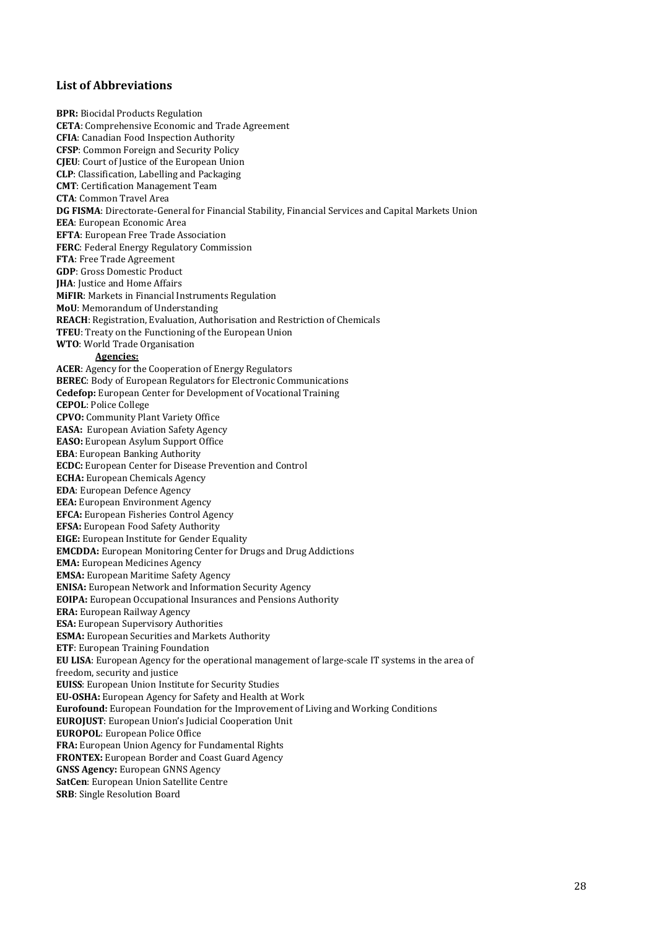#### <span id="page-27-0"></span>**List of Abbreviations**

**BPR:** Biocidal Products Regulation **CETA**: Comprehensive Economic and Trade Agreement **CFIA**: Canadian Food Inspection Authority **CFSP**: Common Foreign and Security Policy **CJEU**: Court of Justice of the European Union **CLP**: Classification, Labelling and Packaging **CMT**: Certification Management Team **CTA**: Common Travel Area **DG FISMA**: Directorate-General for Financial Stability, Financial Services and Capital Markets Union **EEA**: European Economic Area **EFTA**: European Free Trade Association **FERC**: Federal Energy Regulatory Commission **FTA**: Free Trade Agreement **GDP**: Gross Domestic Product **JHA**: Justice and Home Affairs **MiFIR**: Markets in Financial Instruments Regulation **MoU**: Memorandum of Understanding **REACH**: Registration, Evaluation, Authorisation and Restriction of Chemicals **TFEU**: Treaty on the Functioning of the European Union **WTO**: World Trade Organisation **Agencies: ACER**: Agency for the Cooperation of Energy Regulators **BEREC**: Body of European Regulators for Electronic Communications **Cedefop:** European Center for Development of Vocational Training **CEPOL**: Police College **CPVO:** Community Plant Variety Office **EASA:** European Aviation Safety Agency **EASO:** European Asylum Support Office **EBA**: European Banking Authority **ECDC:** European Center for Disease Prevention and Control **ECHA:** European Chemicals Agency **EDA**: European Defence Agency **EEA:** European Environment Agency **EFCA:** European Fisheries Control Agency **EFSA:** European Food Safety Authority **EIGE:** European Institute for Gender Equality **EMCDDA:** European Monitoring Center for Drugs and Drug Addictions **EMA:** European Medicines Agency **EMSA:** European Maritime Safety Agency **ENISA:** European Network and Information Security Agency **EOIPA:** European Occupational Insurances and Pensions Authority **ERA:** European Railway Agency **ESA:** European Supervisory Authorities **ESMA:** European Securities and Markets Authority **ETF**: European Training Foundation **EU LISA**: European Agency for the operational management of large-scale IT systems in the area of freedom, security and justice **EUISS**: European Union Institute for Security Studies **EU-OSHA:** European Agency for Safety and Health at Work **Eurofound:** European Foundation for the Improvement of Living and Working Conditions **EUROJUST**: European Union's Judicial Cooperation Unit **EUROPOL**: European Police Office **FRA:** European Union Agency for Fundamental Rights **FRONTEX:** European Border and Coast Guard Agency **GNSS Agency:** European GNNS Agency **SatCen**: European Union Satellite Centre **SRB**: Single Resolution Board